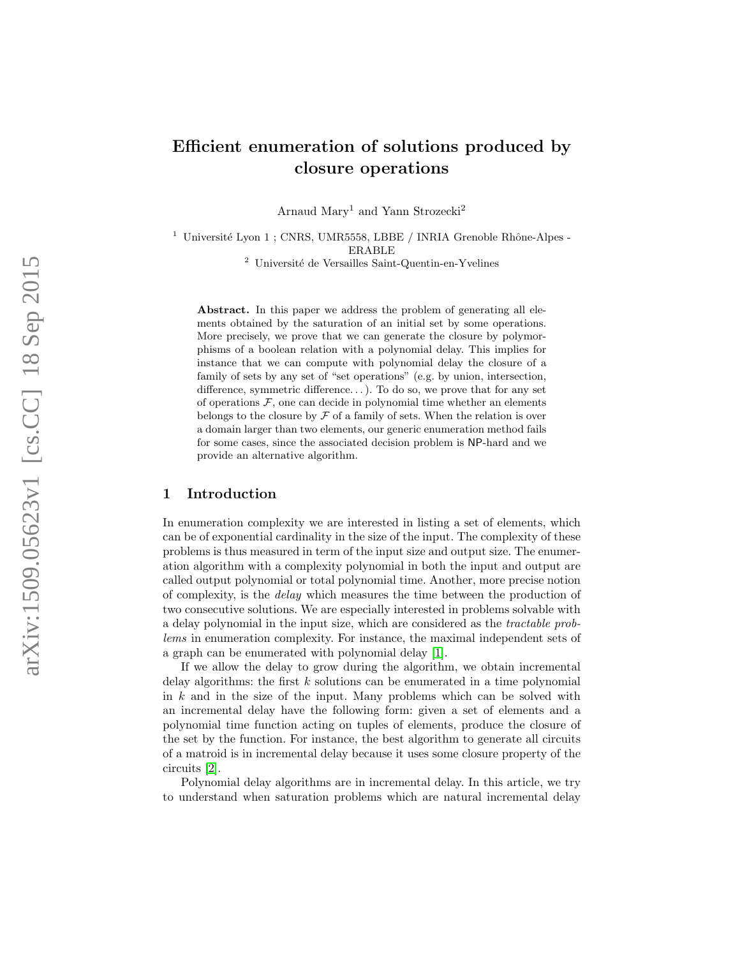# Efficient enumeration of solutions produced by closure operations

Arnaud Mary<sup>1</sup> and Yann Strozecki<sup>2</sup>

 $1$  Université Lyon 1 ; CNRS, UMR5558, LBBE / INRIA Grenoble Rhône-Alpes -ERABLE

 $^{\rm 2}$ Université de Versailles Saint-Quentin-en-Yvelines

Abstract. In this paper we address the problem of generating all elements obtained by the saturation of an initial set by some operations. More precisely, we prove that we can generate the closure by polymorphisms of a boolean relation with a polynomial delay. This implies for instance that we can compute with polynomial delay the closure of a family of sets by any set of "set operations" (e.g. by union, intersection, difference, symmetric difference. . .). To do so, we prove that for any set of operations  $F$ , one can decide in polynomial time whether an elements belongs to the closure by  $\mathcal F$  of a family of sets. When the relation is over a domain larger than two elements, our generic enumeration method fails for some cases, since the associated decision problem is NP-hard and we provide an alternative algorithm.

# 1 Introduction

In enumeration complexity we are interested in listing a set of elements, which can be of exponential cardinality in the size of the input. The complexity of these problems is thus measured in term of the input size and output size. The enumeration algorithm with a complexity polynomial in both the input and output are called output polynomial or total polynomial time. Another, more precise notion of complexity, is the delay which measures the time between the production of two consecutive solutions. We are especially interested in problems solvable with a delay polynomial in the input size, which are considered as the tractable problems in enumeration complexity. For instance, the maximal independent sets of a graph can be enumerated with polynomial delay [\[1\]](#page-18-0).

If we allow the delay to grow during the algorithm, we obtain incremental delay algorithms: the first  $k$  solutions can be enumerated in a time polynomial in k and in the size of the input. Many problems which can be solved with an incremental delay have the following form: given a set of elements and a polynomial time function acting on tuples of elements, produce the closure of the set by the function. For instance, the best algorithm to generate all circuits of a matroid is in incremental delay because it uses some closure property of the circuits [\[2\]](#page-18-1).

Polynomial delay algorithms are in incremental delay. In this article, we try to understand when saturation problems which are natural incremental delay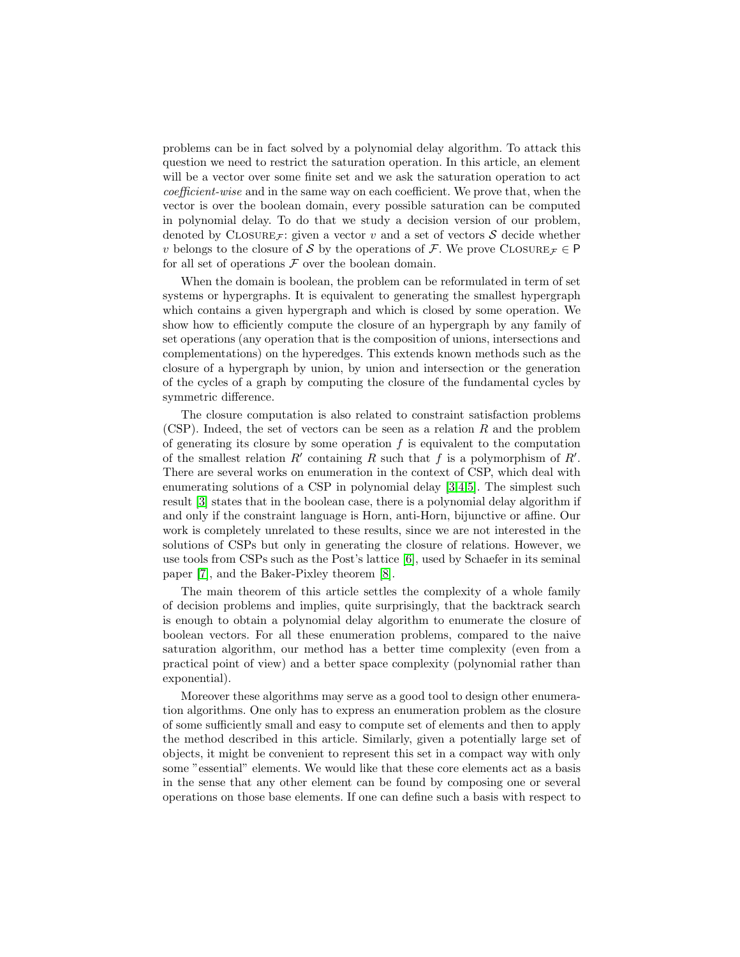problems can be in fact solved by a polynomial delay algorithm. To attack this question we need to restrict the saturation operation. In this article, an element will be a vector over some finite set and we ask the saturation operation to act coefficient-wise and in the same way on each coefficient. We prove that, when the vector is over the boolean domain, every possible saturation can be computed in polynomial delay. To do that we study a decision version of our problem, denoted by CLOSURE<sub>F</sub>: given a vector v and a set of vectors S decide whether v belongs to the closure of S by the operations of F. We prove CLOSURE  $\tau \in \mathsf{P}$ for all set of operations  $F$  over the boolean domain.

When the domain is boolean, the problem can be reformulated in term of set systems or hypergraphs. It is equivalent to generating the smallest hypergraph which contains a given hypergraph and which is closed by some operation. We show how to efficiently compute the closure of an hypergraph by any family of set operations (any operation that is the composition of unions, intersections and complementations) on the hyperedges. This extends known methods such as the closure of a hypergraph by union, by union and intersection or the generation of the cycles of a graph by computing the closure of the fundamental cycles by symmetric difference.

The closure computation is also related to constraint satisfaction problems (CSP). Indeed, the set of vectors can be seen as a relation  $R$  and the problem of generating its closure by some operation  $f$  is equivalent to the computation of the smallest relation  $R'$  containing R such that f is a polymorphism of  $R'$ . There are several works on enumeration in the context of CSP, which deal with enumerating solutions of a CSP in polynomial delay [\[3](#page-18-2)[,4,](#page-18-3)[5\]](#page-18-4). The simplest such result [\[3\]](#page-18-2) states that in the boolean case, there is a polynomial delay algorithm if and only if the constraint language is Horn, anti-Horn, bijunctive or affine. Our work is completely unrelated to these results, since we are not interested in the solutions of CSPs but only in generating the closure of relations. However, we use tools from CSPs such as the Post's lattice [\[6\]](#page-18-5), used by Schaefer in its seminal paper [\[7\]](#page-18-6), and the Baker-Pixley theorem [\[8\]](#page-18-7).

The main theorem of this article settles the complexity of a whole family of decision problems and implies, quite surprisingly, that the backtrack search is enough to obtain a polynomial delay algorithm to enumerate the closure of boolean vectors. For all these enumeration problems, compared to the naive saturation algorithm, our method has a better time complexity (even from a practical point of view) and a better space complexity (polynomial rather than exponential).

Moreover these algorithms may serve as a good tool to design other enumeration algorithms. One only has to express an enumeration problem as the closure of some sufficiently small and easy to compute set of elements and then to apply the method described in this article. Similarly, given a potentially large set of objects, it might be convenient to represent this set in a compact way with only some "essential" elements. We would like that these core elements act as a basis in the sense that any other element can be found by composing one or several operations on those base elements. If one can define such a basis with respect to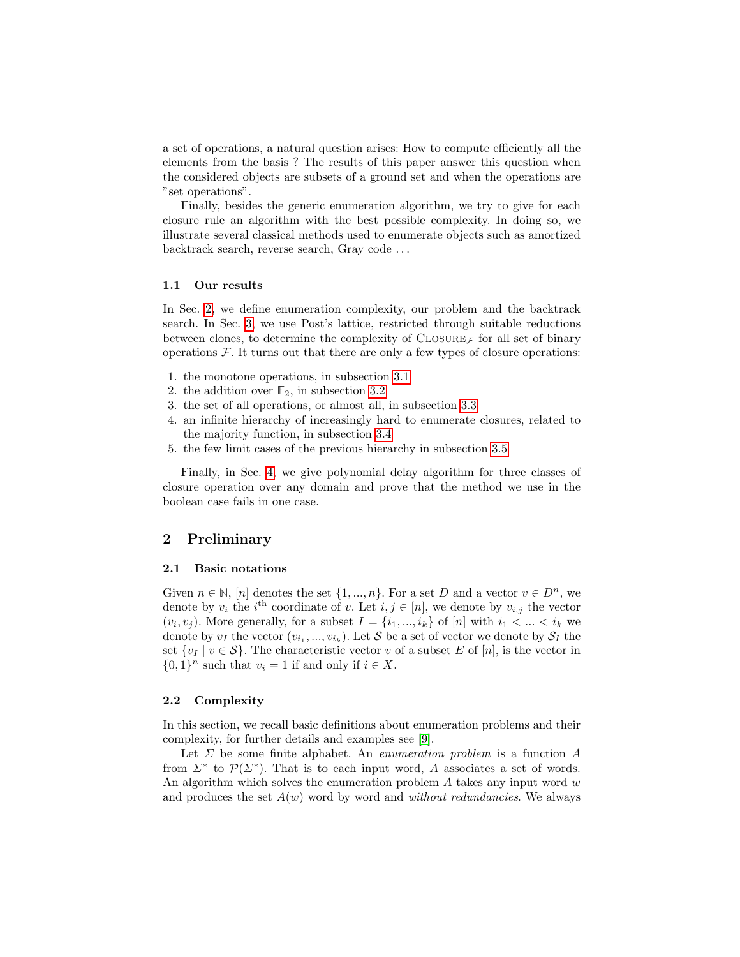a set of operations, a natural question arises: How to compute efficiently all the elements from the basis ? The results of this paper answer this question when the considered objects are subsets of a ground set and when the operations are "set operations".

Finally, besides the generic enumeration algorithm, we try to give for each closure rule an algorithm with the best possible complexity. In doing so, we illustrate several classical methods used to enumerate objects such as amortized backtrack search, reverse search, Gray code . . .

### 1.1 Our results

In Sec. [2,](#page-2-0) we define enumeration complexity, our problem and the backtrack search. In Sec. [3,](#page-5-0) we use Post's lattice, restricted through suitable reductions between clones, to determine the complexity of  $\text{CLOSURE}_{\mathcal{F}}$  for all set of binary operations  $F$ . It turns out that there are only a few types of closure operations:

- 1. the monotone operations, in subsection [3.1](#page-6-0)
- 2. the addition over  $\mathbb{F}_2$ , in subsection [3.2](#page-9-0)
- 3. the set of all operations, or almost all, in subsection [3.3](#page-9-1)
- 4. an infinite hierarchy of increasingly hard to enumerate closures, related to the majority function, in subsection [3.4](#page-10-0)
- 5. the few limit cases of the previous hierarchy in subsection [3.5](#page-14-0)

Finally, in Sec. [4,](#page-15-0) we give polynomial delay algorithm for three classes of closure operation over any domain and prove that the method we use in the boolean case fails in one case.

# <span id="page-2-0"></span>2 Preliminary

### 2.1 Basic notations

Given  $n \in \mathbb{N}$ , [n] denotes the set  $\{1, ..., n\}$ . For a set D and a vector  $v \in D^n$ , we denote by  $v_i$  the i<sup>th</sup> coordinate of v. Let  $i, j \in [n]$ , we denote by  $v_{i,j}$  the vector  $(v_i, v_j)$ . More generally, for a subset  $I = \{i_1, ..., i_k\}$  of  $[n]$  with  $i_1 < ... < i_k$  we denote by  $v_I$  the vector  $(v_{i_1},...,v_{i_k})$ . Let  $\mathcal S$  be a set of vector we denote by  $\mathcal S_I$  the set  $\{v_I | v \in S\}$ . The characteristic vector v of a subset E of  $[n]$ , is the vector in  $\{0,1\}^n$  such that  $v_i = 1$  if and only if  $i \in X$ .

### 2.2 Complexity

In this section, we recall basic definitions about enumeration problems and their complexity, for further details and examples see [\[9\]](#page-18-8).

Let  $\Sigma$  be some finite alphabet. An *enumeration problem* is a function  $A$ from  $\Sigma^*$  to  $\mathcal{P}(\Sigma^*)$ . That is to each input word, A associates a set of words. An algorithm which solves the enumeration problem  $A$  takes any input word  $w$ and produces the set  $A(w)$  word by word and *without redundancies*. We always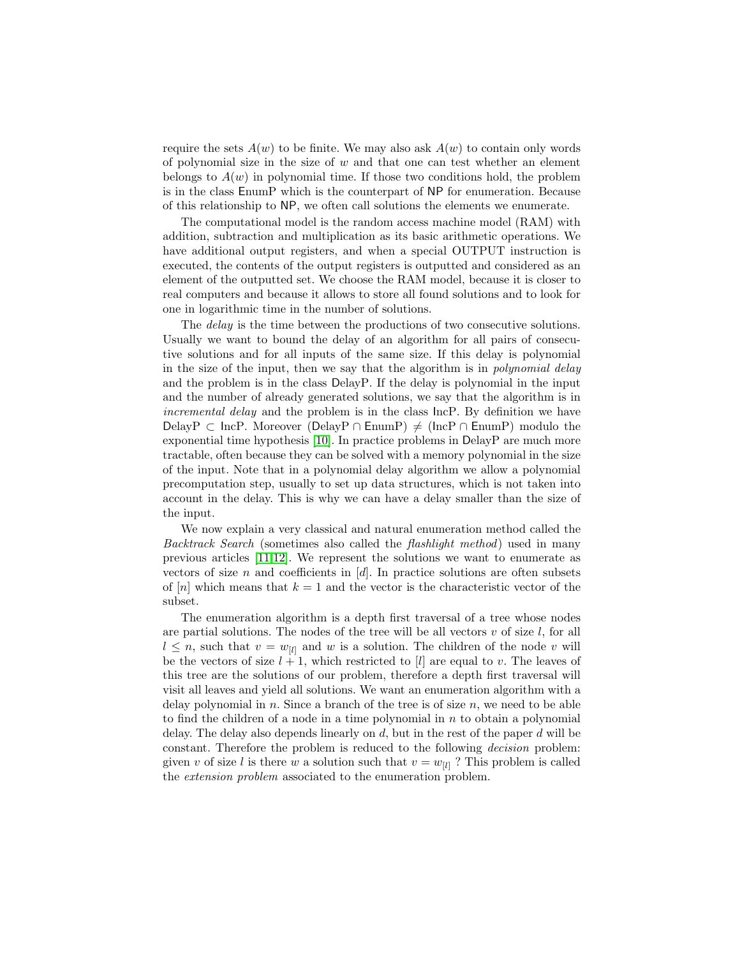require the sets  $A(w)$  to be finite. We may also ask  $A(w)$  to contain only words of polynomial size in the size of  $w$  and that one can test whether an element belongs to  $A(w)$  in polynomial time. If those two conditions hold, the problem is in the class EnumP which is the counterpart of NP for enumeration. Because of this relationship to NP, we often call solutions the elements we enumerate.

The computational model is the random access machine model (RAM) with addition, subtraction and multiplication as its basic arithmetic operations. We have additional output registers, and when a special OUTPUT instruction is executed, the contents of the output registers is outputted and considered as an element of the outputted set. We choose the RAM model, because it is closer to real computers and because it allows to store all found solutions and to look for one in logarithmic time in the number of solutions.

The *delay* is the time between the productions of two consecutive solutions. Usually we want to bound the delay of an algorithm for all pairs of consecutive solutions and for all inputs of the same size. If this delay is polynomial in the size of the input, then we say that the algorithm is in *polynomial delay* and the problem is in the class DelayP. If the delay is polynomial in the input and the number of already generated solutions, we say that the algorithm is in incremental delay and the problem is in the class IncP. By definition we have DelayP ⊂ IncP. Moreover (DelayP ∩ EnumP)  $\neq$  (IncP ∩ EnumP) modulo the exponential time hypothesis [\[10\]](#page-19-0). In practice problems in DelayP are much more tractable, often because they can be solved with a memory polynomial in the size of the input. Note that in a polynomial delay algorithm we allow a polynomial precomputation step, usually to set up data structures, which is not taken into account in the delay. This is why we can have a delay smaller than the size of the input.

We now explain a very classical and natural enumeration method called the Backtrack Search (sometimes also called the flashlight method) used in many previous articles [\[11](#page-19-1)[,12\]](#page-19-2). We represent the solutions we want to enumerate as vectors of size n and coefficients in  $[d]$ . In practice solutions are often subsets of  $[n]$  which means that  $k = 1$  and the vector is the characteristic vector of the subset.

<span id="page-3-0"></span>The enumeration algorithm is a depth first traversal of a tree whose nodes are partial solutions. The nodes of the tree will be all vectors  $v$  of size  $l$ , for all  $l \leq n$ , such that  $v = w_{[l]}$  and w is a solution. The children of the node v will be the vectors of size  $l + 1$ , which restricted to [l] are equal to v. The leaves of this tree are the solutions of our problem, therefore a depth first traversal will visit all leaves and yield all solutions. We want an enumeration algorithm with a delay polynomial in  $n$ . Since a branch of the tree is of size  $n$ , we need to be able to find the children of a node in a time polynomial in  $n$  to obtain a polynomial delay. The delay also depends linearly on  $d$ , but in the rest of the paper  $d$  will be constant. Therefore the problem is reduced to the following decision problem: given v of size l is there w a solution such that  $v = w_{[l]}$ ? This problem is called the extension problem associated to the enumeration problem.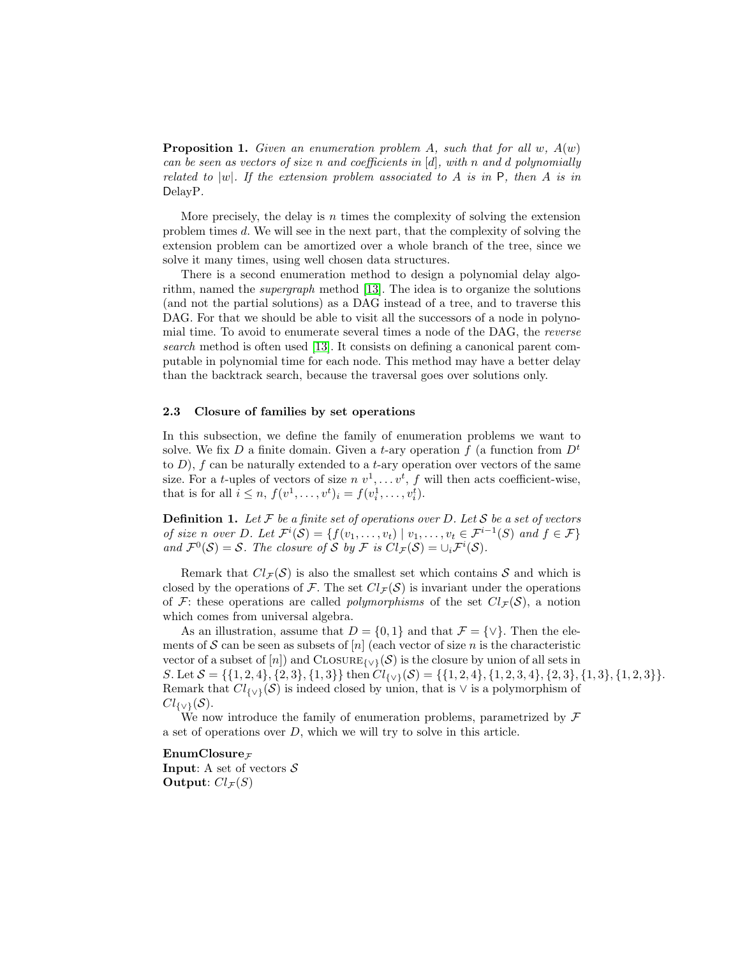**Proposition 1.** Given an enumeration problem A, such that for all  $w$ ,  $A(w)$ can be seen as vectors of size n and coefficients in  $[d]$ , with n and d polynomially related to |w|. If the extension problem associated to A is in  $P$ , then A is in DelayP.

More precisely, the delay is n times the complexity of solving the extension problem times d. We will see in the next part, that the complexity of solving the extension problem can be amortized over a whole branch of the tree, since we solve it many times, using well chosen data structures.

There is a second enumeration method to design a polynomial delay algorithm, named the supergraph method [\[13\]](#page-19-3). The idea is to organize the solutions (and not the partial solutions) as a DAG instead of a tree, and to traverse this DAG. For that we should be able to visit all the successors of a node in polynomial time. To avoid to enumerate several times a node of the DAG, the reverse search method is often used [\[13\]](#page-19-3). It consists on defining a canonical parent computable in polynomial time for each node. This method may have a better delay than the backtrack search, because the traversal goes over solutions only.

## 2.3 Closure of families by set operations

In this subsection, we define the family of enumeration problems we want to solve. We fix D a finite domain. Given a t-ary operation f (a function from  $D<sup>t</sup>$ to  $D$ ),  $f$  can be naturally extended to a t-ary operation over vectors of the same size. For a *t*-uples of vectors of size  $n v^1, \ldots v^t, f$  will then acts coefficient-wise, that is for all  $i \leq n$ ,  $f(v^1, \ldots, v^t)_i = f(v^1_i, \ldots, v^t_i)$ .

**Definition 1.** Let  $\mathcal F$  be a finite set of operations over D. Let  $\mathcal S$  be a set of vectors of size n over D. Let  $\mathcal{F}^i(\mathcal{S}) = \{f(v_1, \ldots, v_t) \mid v_1, \ldots, v_t \in \mathcal{F}^{i-1}(S) \text{ and } f \in \mathcal{F}\}\$ and  $\mathcal{F}^0(\mathcal{S}) = \mathcal{S}$ . The closure of  $\mathcal{S}$  by  $\mathcal{F}$  is  $Cl_{\mathcal{F}}(\mathcal{S}) = \cup_i \mathcal{F}^i(\mathcal{S})$ .

Remark that  $Cl_{\mathcal{F}}(\mathcal{S})$  is also the smallest set which contains S and which is closed by the operations of F. The set  $Cl_{\mathcal{F}}(\mathcal{S})$  is invariant under the operations of F: these operations are called *polymorphisms* of the set  $Cl_{\mathcal{F}}(\mathcal{S})$ , a notion which comes from universal algebra.

As an illustration, assume that  $D = \{0, 1\}$  and that  $\mathcal{F} = \{\vee\}$ . Then the elements of S can be seen as subsets of  $[n]$  (each vector of size n is the characteristic vector of a subset of [n]) and CLOSURE $_{\{V\}}(\mathcal{S})$  is the closure by union of all sets in S. Let  $S = \{\{1, 2, 4\}, \{2, 3\}, \{1, 3\}\}\$  then  $Cl_{\{V\}}(\mathcal{S}) = \{\{1, 2, 4\}, \{1, 2, 3, 4\}, \{2, 3\}, \{1, 3\}, \{1, 2, 3\}\}.$ Remark that  $Cl_{\{v\}}(\mathcal{S})$  is indeed closed by union, that is  $\vee$  is a polymorphism of  $Cl_{\{V\}}(\mathcal{S}).$ 

We now introduce the family of enumeration problems, parametrized by  $\mathcal F$ a set of operations over D, which we will try to solve in this article.

# EnumClosure $_F$

**Input:** A set of vectors  $S$ Output:  $Cl_{\mathcal{F}}(S)$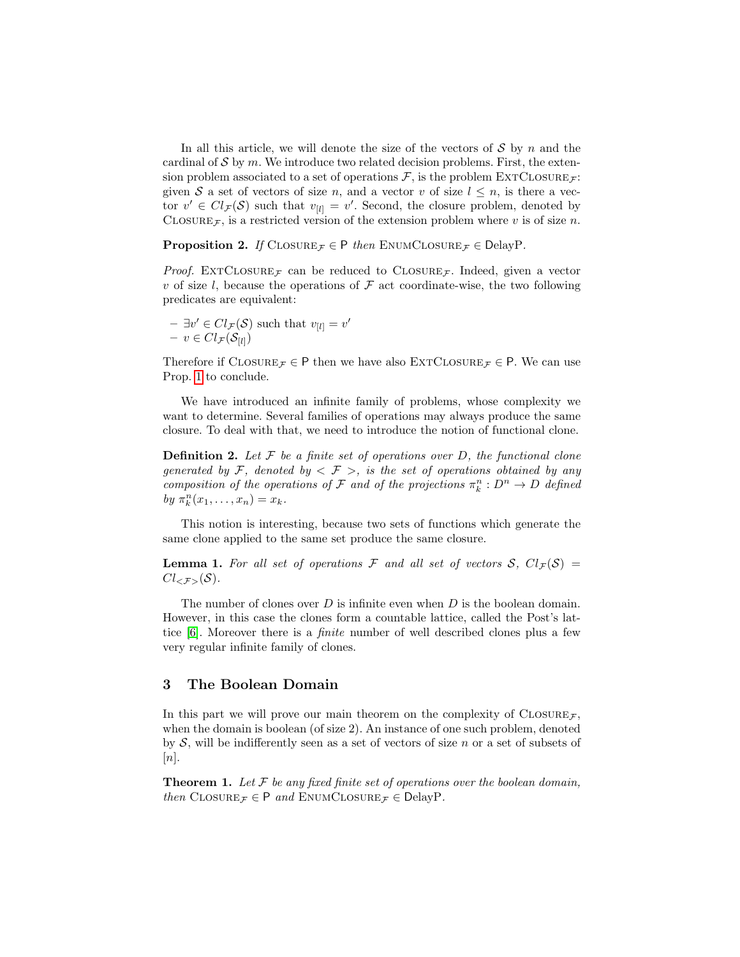In all this article, we will denote the size of the vectors of  $S$  by n and the cardinal of  $\mathcal S$  by m. We introduce two related decision problems. First, the extension problem associated to a set of operations  $\mathcal{F}$ , is the problem EXTCLOSURE $\mathcal{F}$ : given S a set of vectors of size n, and a vector v of size  $l \leq n$ , is there a vector  $v' \in Cl_{\mathcal{F}}(\mathcal{S})$  such that  $v_{[l]} = v'$ . Second, the closure problem, denoted by CLOSURE<sub>F</sub>, is a restricted version of the extension problem where v is of size n.

**Proposition 2.** If  $\text{ClosURE}_{\mathcal{F}} \in \mathsf{P}$  then  $\text{ENUMCLOSURE}_{\mathcal{F}} \in \text{DelayP}$ .

*Proof.* EXTCLOSURE<sub>F</sub> can be reduced to CLOSURE<sub>F</sub>. Indeed, given a vector v of size l, because the operations of  $\mathcal F$  act coordinate-wise, the two following predicates are equivalent:

 $- \exists v' \in Cl_{\mathcal{F}}(\mathcal{S})$  such that  $v_{[l]} = v'$  $- v \in Cl_{\mathcal{F}}(\mathcal{S}_{[l]})$ 

Therefore if  $\text{CLOSURE}_{\mathcal{F}} \in \mathsf{P}$  then we have also  $\text{EXTCLOSURE}_{\mathcal{F}} \in \mathsf{P}$ . We can use Prop. [1](#page-3-0) to conclude.

We have introduced an infinite family of problems, whose complexity we want to determine. Several families of operations may always produce the same closure. To deal with that, we need to introduce the notion of functional clone.

**Definition 2.** Let  $\mathcal F$  be a finite set of operations over D, the functional clone generated by F, denoted by  $\langle \mathcal{F} \rangle$ , is the set of operations obtained by any composition of the operations of F and of the projections  $\pi_k^n : D^n \to D$  defined by  $\pi_k^n(x_1,\ldots,x_n)=x_k$ .

This notion is interesting, because two sets of functions which generate the same clone applied to the same set produce the same closure.

**Lemma 1.** For all set of operations F and all set of vectors S,  $Cl_{\mathcal{F}}(S)$  =  $Cl_{\leq \mathcal{F}>}(\mathcal{S}).$ 

The number of clones over  $D$  is infinite even when  $D$  is the boolean domain. However, in this case the clones form a countable lattice, called the Post's lattice [\[6\]](#page-18-5). Moreover there is a finite number of well described clones plus a few very regular infinite family of clones.

# <span id="page-5-0"></span>3 The Boolean Domain

In this part we will prove our main theorem on the complexity of  $\text{CLOSURE}_{\mathcal{F}}$ , when the domain is boolean (of size 2). An instance of one such problem, denoted by  $S$ , will be indifferently seen as a set of vectors of size n or a set of subsets of  $[n].$ 

**Theorem 1.** Let  $\mathcal F$  be any fixed finite set of operations over the boolean domain, then CLOSURE  $\tau \in P$  and ENUMCLOSURE  $\tau \in$  DelayP.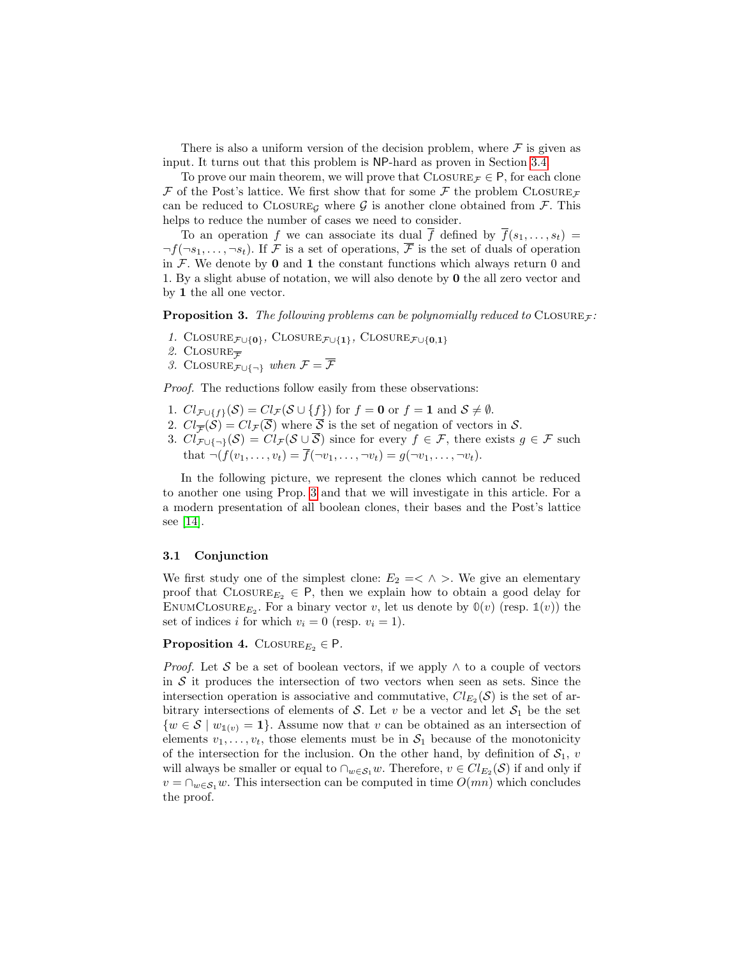There is also a uniform version of the decision problem, where  $\mathcal F$  is given as input. It turns out that this problem is NP-hard as proven in Section [3.4.](#page-10-0)

To prove our main theorem, we will prove that  $\text{CLOSURE}_{\mathcal{F}} \in \mathsf{P}$ , for each clone  $\mathcal F$  of the Post's lattice. We first show that for some  $\mathcal F$  the problem CLOSURE can be reduced to CLOSURE<sub>G</sub> where  $\mathcal G$  is another clone obtained from  $\mathcal F$ . This helps to reduce the number of cases we need to consider.

To an operation f we can associate its dual  $\overline{f}$  defined by  $\overline{f}(s_1, \ldots, s_t)$  $\neg f(\neg s_1, \ldots, \neg s_t)$ . If F is a set of operations, F is the set of duals of operation in  $\mathcal F$ . We denote by 0 and 1 the constant functions which always return 0 and 1. By a slight abuse of notation, we will also denote by 0 the all zero vector and by 1 the all one vector.

<span id="page-6-1"></span>**Proposition 3.** The following problems can be polynomially reduced to  $CLOSUREF$ :

- 1. CLOSURE $_{\mathcal{F}\cup\{0\}}$ , CLOSURE $_{\mathcal{F}\cup\{1\}}$ , CLOSURE $_{\mathcal{F}\cup\{0,1\}}$
- 2. CLOSURE $\overline{\mathcal{F}}$
- 3. CLOSURE $\mathcal{F}_{\cup\{\neg\}}$  when  $\mathcal{F} = \overline{\mathcal{F}}$

Proof. The reductions follow easily from these observations:

- 1.  $Cl_{\mathcal{F}\cup\{f\}}(\mathcal{S})=Cl_{\mathcal{F}}(\mathcal{S}\cup\{f\})$  for  $f=0$  or  $f=1$  and  $\mathcal{S}\neq\emptyset$ .
- 2.  $Cl_{\overline{\mathcal{F}}}(\mathcal{S}) = Cl_{\mathcal{F}}(\overline{\mathcal{S}})$  where  $\overline{\mathcal{S}}$  is the set of negation of vectors in  $\mathcal{S}$ .
- 3.  $Cl_{\mathcal{F}\cup\{\neg\}}(\mathcal{S})=Cl_{\mathcal{F}}(\mathcal{S}\cup\overline{\mathcal{S}})$  since for every  $f\in\mathcal{F}$ , there exists  $g\in\mathcal{F}$  such that  $\neg(f(v_1,\ldots,v_t)=\overline{f}(\neg v_1,\ldots,\neg v_t)=g(\neg v_1,\ldots,\neg v_t).$

In the following picture, we represent the clones which cannot be reduced to another one using Prop. [3](#page-6-1) and that we will investigate in this article. For a a modern presentation of all boolean clones, their bases and the Post's lattice see [\[14\]](#page-19-4).

### <span id="page-6-0"></span>3.1 Conjunction

We first study one of the simplest clone:  $E_2 = \langle \wedge \rangle$ . We give an elementary proof that  $\text{CLOSURE}_{E_2} \in \mathsf{P}$ , then we explain how to obtain a good delay for ENUMCLOSURE<sub>E2</sub>. For a binary vector v, let us denote by  $\mathbb{O}(v)$  (resp.  $\mathbb{1}(v)$ ) the set of indices i for which  $v_i = 0$  (resp.  $v_i = 1$ ).

## **Proposition 4.** CLOSURE<sub>E2</sub>  $\in$  P.

*Proof.* Let S be a set of boolean vectors, if we apply  $\wedge$  to a couple of vectors in  $S$  it produces the intersection of two vectors when seen as sets. Since the intersection operation is associative and commutative,  $Cl_{E_2}(S)$  is the set of arbitrary intersections of elements of S. Let v be a vector and let  $S_1$  be the set  $\{w \in \mathcal{S} \mid w_{\mathbb{1}(v)} = 1\}.$  Assume now that v can be obtained as an intersection of elements  $v_1, \ldots, v_t$ , those elements must be in  $S_1$  because of the monotonicity of the intersection for the inclusion. On the other hand, by definition of  $S_1$ , v will always be smaller or equal to  $\cap_{w \in S_1} w$ . Therefore,  $v \in Cl_{E_2}(S)$  if and only if  $v = \bigcap_{w \in \mathcal{S}_1} w$ . This intersection can be computed in time  $O(mn)$  which concludes the proof.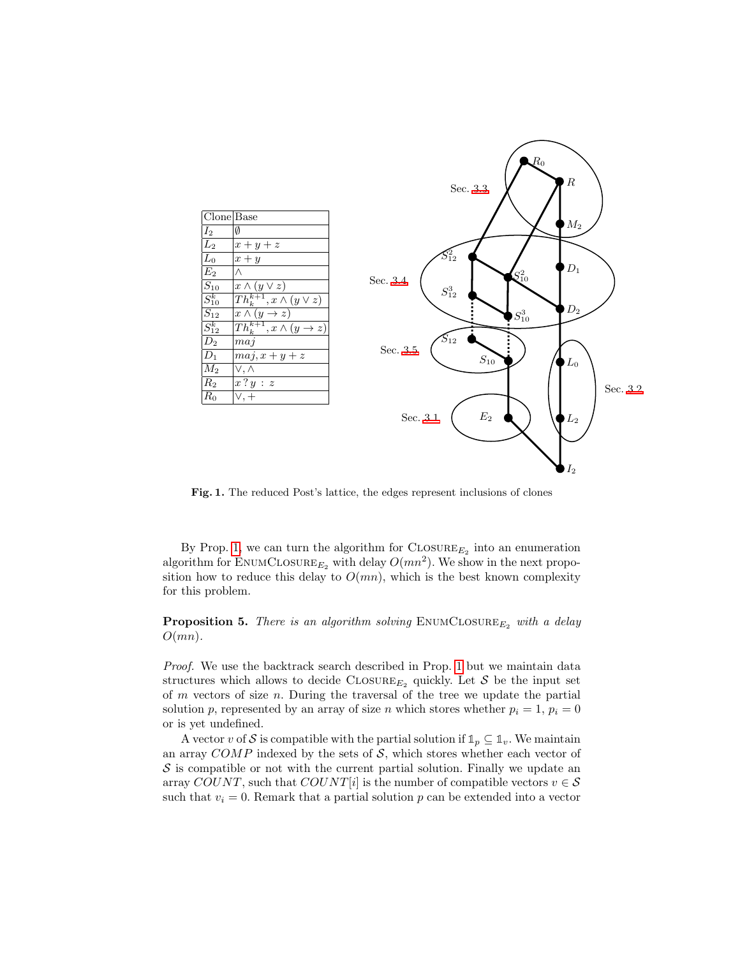

Fig. 1. The reduced Post's lattice, the edges represent inclusions of clones

By Prop. [1,](#page-3-0) we can turn the algorithm for  $\text{CLOSURE}_{E_2}$  into an enumeration algorithm for ENUMCLOSURE<sub> $E_2$ </sub> with delay  $O(mn^2)$ . We show in the next proposition how to reduce this delay to  $O(mn)$ , which is the best known complexity for this problem.

**Proposition 5.** There is an algorithm solving  $\text{EWMCLOSURE}_{E_2}$  with a delay  $O(mn)$ .

Proof. We use the backtrack search described in Prop. [1](#page-3-0) but we maintain data structures which allows to decide CLOSURE<sub>E<sub>2</sub></sub> quickly. Let S be the input set of  $m$  vectors of size  $n$ . During the traversal of the tree we update the partial solution p, represented by an array of size n which stores whether  $p_i = 1$ ,  $p_i = 0$ or is yet undefined.

A vector v of S is compatible with the partial solution if  $\mathbb{1}_p \subseteq \mathbb{1}_v$ . We maintain an array  $COMP$  indexed by the sets of  $S$ , which stores whether each vector of  $\mathcal S$  is compatible or not with the current partial solution. Finally we update an array COUNT, such that COUNT[i] is the number of compatible vectors  $v \in \mathcal{S}$ such that  $v_i = 0$ . Remark that a partial solution p can be extended into a vector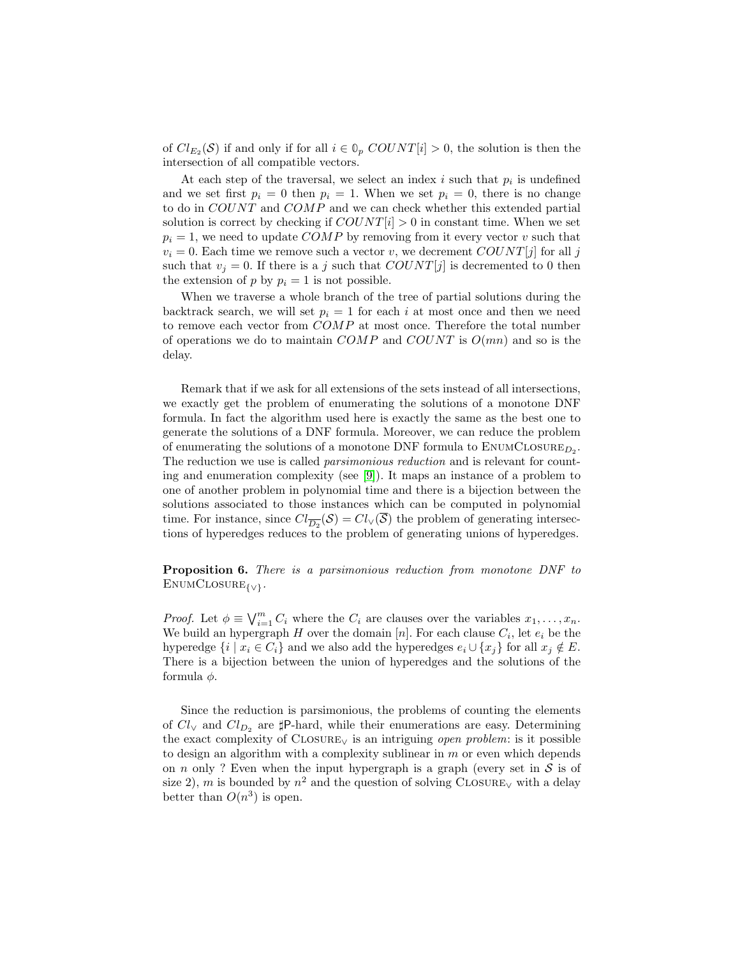of  $Cl_{E_2}(S)$  if and only if for all  $i \in \mathbb{O}_p$   $COUNT[i] > 0$ , the solution is then the intersection of all compatible vectors.

At each step of the traversal, we select an index  $i$  such that  $p_i$  is undefined and we set first  $p_i = 0$  then  $p_i = 1$ . When we set  $p_i = 0$ , there is no change to do in COUNT and COMP and we can check whether this extended partial solution is correct by checking if  $COUNT[i] > 0$  in constant time. When we set  $p_i = 1$ , we need to update COMP by removing from it every vector v such that  $v_i = 0$ . Each time we remove such a vector v, we decrement  $COUNT[j]$  for all j such that  $v_j = 0$ . If there is a j such that  $COUNT[j]$  is decremented to 0 then the extension of p by  $p_i = 1$  is not possible.

When we traverse a whole branch of the tree of partial solutions during the backtrack search, we will set  $p_i = 1$  for each i at most once and then we need to remove each vector from COMP at most once. Therefore the total number of operations we do to maintain COMP and COUNT is  $O(mn)$  and so is the delay.

Remark that if we ask for all extensions of the sets instead of all intersections, we exactly get the problem of enumerating the solutions of a monotone DNF formula. In fact the algorithm used here is exactly the same as the best one to generate the solutions of a DNF formula. Moreover, we can reduce the problem of enumerating the solutions of a monotone DNF formula to  $\textsc{EnumCLOSURE}_{D_2}.$ The reduction we use is called *parsimonious reduction* and is relevant for counting and enumeration complexity (see [\[9\]](#page-18-8)). It maps an instance of a problem to one of another problem in polynomial time and there is a bijection between the solutions associated to those instances which can be computed in polynomial time. For instance, since  $Cl_{\overline{D_2}}(\mathcal{S}) = Cl_{\vee}(\overline{\mathcal{S}})$  the problem of generating intersections of hyperedges reduces to the problem of generating unions of hyperedges.

Proposition 6. There is a parsimonious reduction from monotone DNF to  $ENUMCLOSURE<sub>{V}</sub>$ </sub>.

*Proof.* Let  $\phi \equiv \bigvee_{i=1}^{m} C_i$  where the  $C_i$  are clauses over the variables  $x_1, \ldots, x_n$ . We build an hypergraph H over the domain  $[n]$ . For each clause  $C_i$ , let  $e_i$  be the hyperedge  $\{i \mid x_i \in C_i\}$  and we also add the hyperedges  $e_i \cup \{x_i\}$  for all  $x_i \notin E$ . There is a bijection between the union of hyperedges and the solutions of the formula  $\phi$ .

Since the reduction is parsimonious, the problems of counting the elements of  $Cl_V$  and  $Cl_{D_2}$  are  $\sharp$ P-hard, while their enumerations are easy. Determining the exact complexity of  $C_{\text{LOSURE}}$  is an intriguing *open problem*: is it possible to design an algorithm with a complexity sublinear in  $m$  or even which depends on n only ? Even when the input hypergraph is a graph (every set in  $S$  is of size 2), m is bounded by  $n^2$  and the question of solving CLOSURE<sub>V</sub> with a delay better than  $O(n^3)$  is open.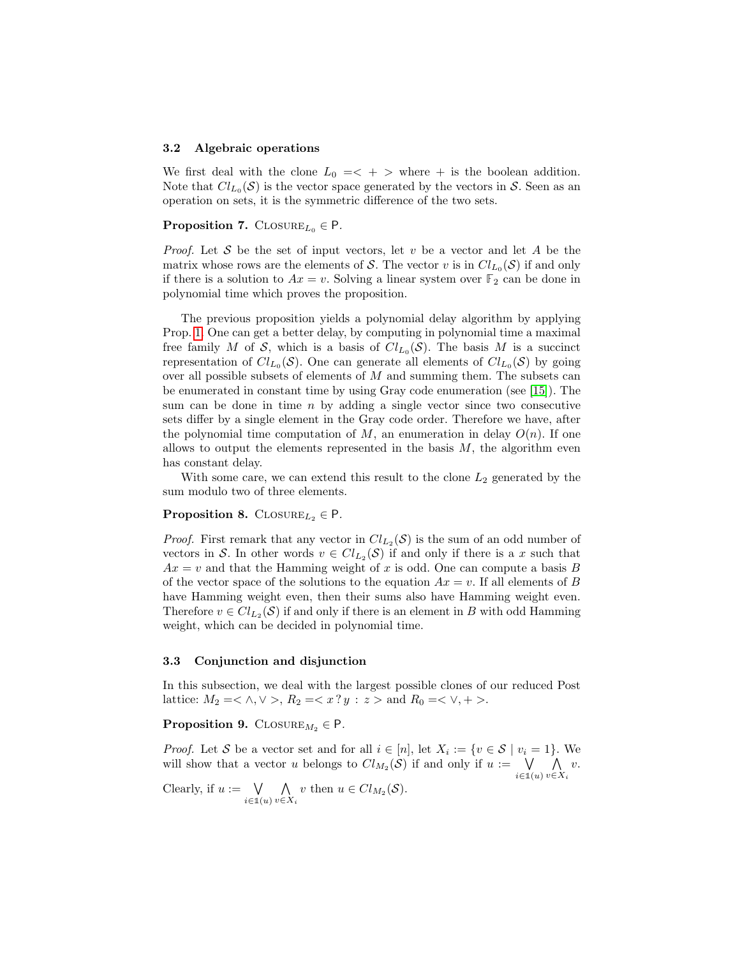#### <span id="page-9-0"></span>3.2 Algebraic operations

We first deal with the clone  $L_0 = \langle + \rangle$  where  $+$  is the boolean addition. Note that  $Cl_{L_0}(\mathcal{S})$  is the vector space generated by the vectors in  $\mathcal{S}$ . Seen as an operation on sets, it is the symmetric difference of the two sets.

## **Proposition 7.** CLOSURE<sub>L<sub>0</sub></sub>  $\in$  P.

*Proof.* Let S be the set of input vectors, let v be a vector and let A be the matrix whose rows are the elements of S. The vector v is in  $Cl_{L_0}(S)$  if and only if there is a solution to  $Ax = v$ . Solving a linear system over  $\mathbb{F}_2$  can be done in polynomial time which proves the proposition.

The previous proposition yields a polynomial delay algorithm by applying Prop. [1.](#page-3-0) One can get a better delay, by computing in polynomial time a maximal free family M of S, which is a basis of  $Cl_{L_0}(S)$ . The basis M is a succinct representation of  $Cl_{L_0}(\mathcal{S})$ . One can generate all elements of  $Cl_{L_0}(\mathcal{S})$  by going over all possible subsets of elements of  $M$  and summing them. The subsets can be enumerated in constant time by using Gray code enumeration (see [\[15\]](#page-19-5)). The sum can be done in time  $n$  by adding a single vector since two consecutive sets differ by a single element in the Gray code order. Therefore we have, after the polynomial time computation of M, an enumeration in delay  $O(n)$ . If one allows to output the elements represented in the basis  $M$ , the algorithm even has constant delay.

With some care, we can extend this result to the clone  $L_2$  generated by the sum modulo two of three elements.

## **Proposition 8.** CLOSURE<sub> $L_2$ </sub>  $\in$  P.

*Proof.* First remark that any vector in  $Cl_{L_2}(S)$  is the sum of an odd number of vectors in S. In other words  $v \in Cl_{L_2}(S)$  if and only if there is a x such that  $Ax = v$  and that the Hamming weight of x is odd. One can compute a basis B of the vector space of the solutions to the equation  $Ax = v$ . If all elements of B have Hamming weight even, then their sums also have Hamming weight even. Therefore  $v \in Cl_{L_2}(S)$  if and only if there is an element in B with odd Hamming weight, which can be decided in polynomial time.

#### <span id="page-9-1"></span>3.3 Conjunction and disjunction

In this subsection, we deal with the largest possible clones of our reduced Post lattice:  $M_2 = \langle \wedge, \vee \rangle, R_2 = \langle x \rangle : z > \text{and } R_0 = \langle \vee, + \rangle.$ 

# Proposition 9. CLOSURE $M_2 \in \mathsf{P}$ .

*Proof.* Let S be a vector set and for all  $i \in [n]$ , let  $X_i := \{v \in S \mid v_i = 1\}$ . We will show that a vector u belongs to  $Cl_{M_2}(S)$  if and only if  $u := \bigvee$ i∈**1**(u)  $\wedge$  $v \in X_i$ v.

Clearly, if  $u := \bigvee$ i∈**1**(u)  $\wedge$  $\bigwedge_{v \in X_i} v$  then  $u \in Cl_{M_2}(\mathcal{S})$ .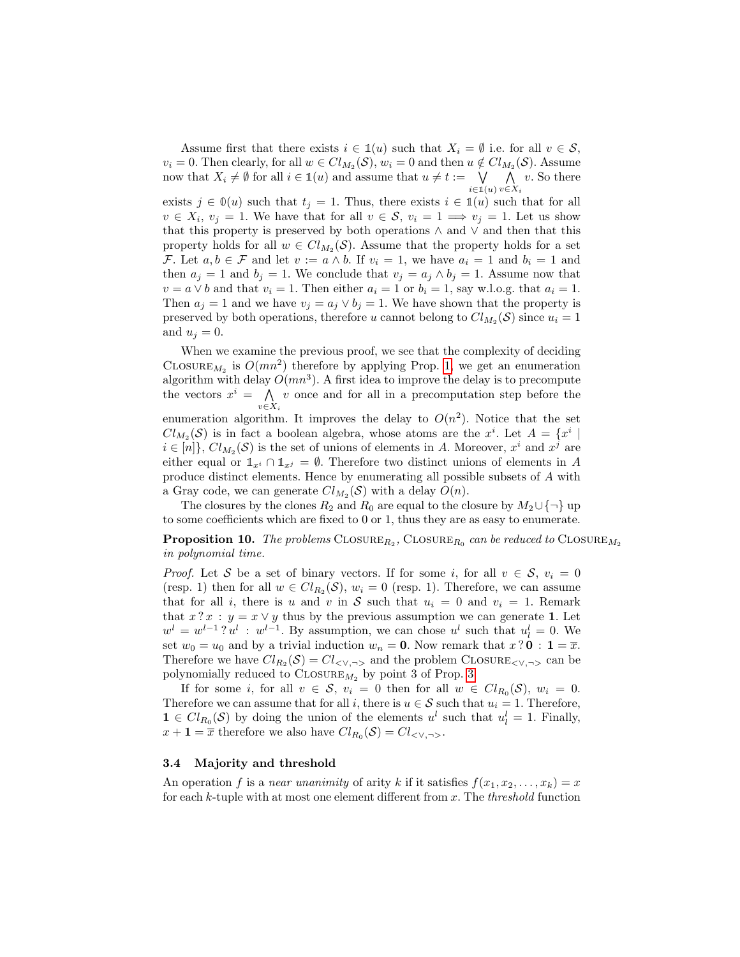Assume first that there exists  $i \in \mathbb{1}(u)$  such that  $X_i = \emptyset$  i.e. for all  $v \in \mathcal{S}$ ,  $v_i = 0$ . Then clearly, for all  $w \in Cl_{M_2}(S)$ ,  $w_i = 0$  and then  $u \notin Cl_{M_2}(S)$ . Assume now that  $X_i \neq \emptyset$  for all  $i \in \mathbb{1}(u)$  and assume that  $u \neq t := \bigvee_{i \in \mathbb{1}(u)}$  $\wedge$  $v \in X_i$ v. So there

exists  $j \in \mathbb{O}(u)$  such that  $t_j = 1$ . Thus, there exists  $i \in \mathbb{1}(u)$  such that for all  $v \in X_i$ ,  $v_j = 1$ . We have that for all  $v \in S$ ,  $v_i = 1 \Longrightarrow v_j = 1$ . Let us show that this property is preserved by both operations ∧ and ∨ and then that this property holds for all  $w \in Cl_{M_2}(S)$ . Assume that the property holds for a set F. Let  $a, b \in \mathcal{F}$  and let  $v := a \wedge b$ . If  $v_i = 1$ , we have  $a_i = 1$  and  $b_i = 1$  and then  $a_j = 1$  and  $b_j = 1$ . We conclude that  $v_j = a_j \wedge b_j = 1$ . Assume now that  $v = a \vee b$  and that  $v_i = 1$ . Then either  $a_i = 1$  or  $b_i = 1$ , say w.l.o.g. that  $a_i = 1$ . Then  $a_j = 1$  and we have  $v_j = a_j \vee b_j = 1$ . We have shown that the property is preserved by both operations, therefore u cannot belong to  $Cl_{M_2}(S)$  since  $u_i = 1$ and  $u_j = 0$ .

When we examine the previous proof, we see that the complexity of deciding CLOSURE<sub>M<sub>2</sub></sub> is  $O(mn^2)$  therefore by applying Prop. [1,](#page-3-0) we get an enumeration algorithm with delay  $O(mn^3)$ . A first idea to improve the delay is to precompute the vectors  $x^i = \Lambda$  $v \in X_i$ v once and for all in a precomputation step before the enumeration algorithm. It improves the delay to  $O(n^2)$ . Notice that the set  $Cl_{M_2}(S)$  is in fact a boolean algebra, whose atoms are the  $x^i$ . Let  $A = \{x^i \mid$  $i \in [n]$ ,  $Cl_{M_2}(\mathcal{S})$  is the set of unions of elements in A. Moreover,  $x^i$  and  $x^j$  are either equal or  $\mathbb{1}_{x^i} \cap \mathbb{1}_{x^j} = \emptyset$ . Therefore two distinct unions of elements in A produce distinct elements. Hence by enumerating all possible subsets of A with a Gray code, we can generate  $Cl_{M_2}(S)$  with a delay  $O(n)$ .

The closures by the clones  $R_2$  and  $R_0$  are equal to the closure by  $M_2 \cup \{\neg\}$  up to some coefficients which are fixed to 0 or 1, thus they are as easy to enumerate.

# **Proposition 10.** The problems  $\text{CLOSURE}_{R_2}$ ,  $\text{CLOSURE}_{R_0}$  can be reduced to  $\text{CLOSURE}_{M_2}$ in polynomial time.

*Proof.* Let S be a set of binary vectors. If for some i, for all  $v \in S$ ,  $v_i = 0$ (resp. 1) then for all  $w \in Cl_{R_2}(\mathcal{S}), w_i = 0$  (resp. 1). Therefore, we can assume that for all i, there is u and v in S such that  $u_i = 0$  and  $v_i = 1$ . Remark that  $x \, ? \, x : y = x \vee y$  thus by the previous assumption we can generate 1. Let  $w^{l} = w^{l-1}$ ?  $u^{l}$ :  $w^{l-1}$ . By assumption, we can chose  $u^{l}$  such that  $u^{l}_{l} = 0$ . We set  $w_0 = u_0$  and by a trivial induction  $w_n = 0$ . Now remark that  $x \, ? \, 0 : 1 = \overline{x}$ . Therefore we have  $Cl_{R_2}(\mathcal{S}) = Cl_{\langle \vee, \neg \rangle}$  and the problem CLOSURE $\langle \vee, \neg \rangle$  can be polynomially reduced to  $\textsc{Closure}_{M_2}$  by point 3 of Prop. [3.](#page-6-1)

If for some *i*, for all  $v \in S$ ,  $v_i = 0$  then for all  $w \in Cl_{R_0}(S)$ ,  $w_i = 0$ . Therefore we can assume that for all i, there is  $u \in S$  such that  $u_i = 1$ . Therefore,  $1 \in Cl_{R_0}(S)$  by doing the union of the elements  $u^l$  such that  $u^l_l = 1$ . Finally,  $x + \mathbf{1} = \overline{x}$  therefore we also have  $Cl_{R_0}(\mathcal{S}) = Cl_{\langle \vee, \neg \rangle}$ .

### <span id="page-10-0"></span>3.4 Majority and threshold

An operation f is a near unanimity of arity k if it satisfies  $f(x_1, x_2, \ldots, x_k) = x$ for each  $k$ -tuple with at most one element different from  $x$ . The *threshold* function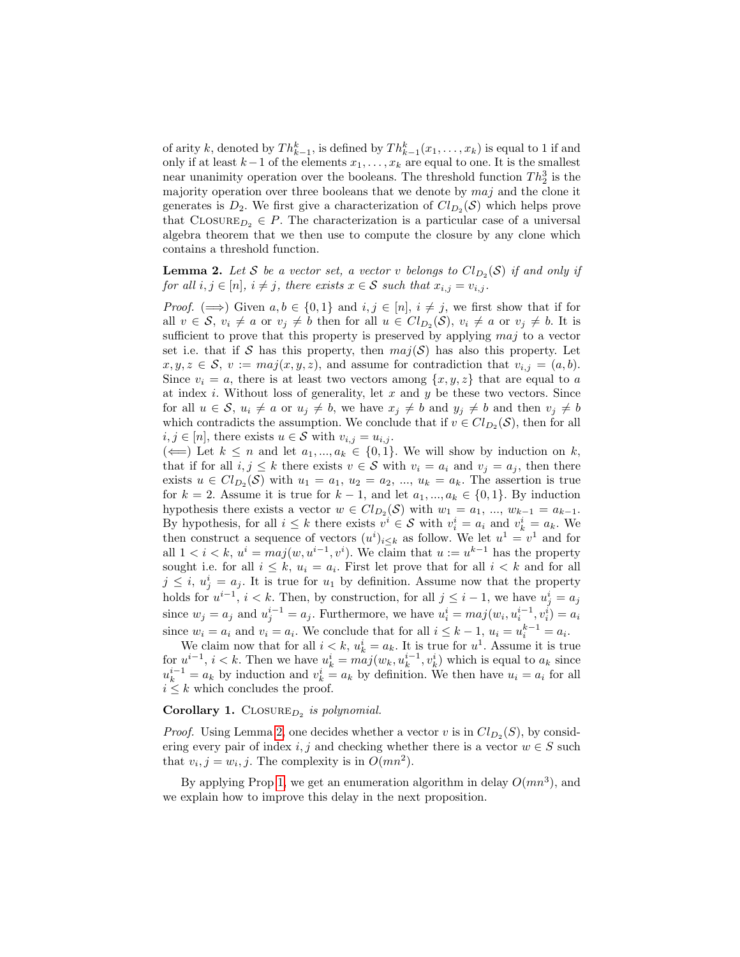of arity k, denoted by  $Th_{k-1}^k$ , is defined by  $Th_{k-1}^k(x_1,\ldots,x_k)$  is equal to 1 if and only if at least  $k-1$  of the elements  $x_1, \ldots, x_k$  are equal to one. It is the smallest near unanimity operation over the booleans. The threshold function  $Th_2^3$  is the majority operation over three booleans that we denote by  $maj$  and the clone it generates is  $D_2$ . We first give a characterization of  $Cl_{D_2}(S)$  which helps prove that  $\text{CLOSURE}_{D_2} \in P$ . The characterization is a particular case of a universal algebra theorem that we then use to compute the closure by any clone which contains a threshold function.

<span id="page-11-0"></span>**Lemma 2.** Let S be a vector set, a vector v belongs to  $Cl_{D_2}(S)$  if and only if for all  $i, j \in [n]$ ,  $i \neq j$ , there exists  $x \in S$  such that  $x_{i,j} = v_{i,j}$ .

*Proof.*  $(\implies)$  Given  $a, b \in \{0, 1\}$  and  $i, j \in [n], i \neq j$ , we first show that if for all  $v \in S$ ,  $v_i \neq a$  or  $v_j \neq b$  then for all  $u \in Cl_{D_2}(S)$ ,  $v_i \neq a$  or  $v_j \neq b$ . It is sufficient to prove that this property is preserved by applying maj to a vector set i.e. that if S has this property, then  $maj(S)$  has also this property. Let  $x, y, z \in \mathcal{S}, v := maj(x, y, z),$  and assume for contradiction that  $v_{i,j} = (a, b).$ Since  $v_i = a$ , there is at least two vectors among  $\{x, y, z\}$  that are equal to a at index  $i$ . Without loss of generality, let  $x$  and  $y$  be these two vectors. Since for all  $u \in \mathcal{S}$ ,  $u_i \neq a$  or  $u_j \neq b$ , we have  $x_j \neq b$  and  $y_j \neq b$  and then  $v_j \neq b$ which contradicts the assumption. We conclude that if  $v \in Cl_{D_2}(S)$ , then for all  $i, j \in [n]$ , there exists  $u \in \mathcal{S}$  with  $v_{i,j} = u_{i,j}$ .

( $\Longleftarrow$ ) Let  $k \leq n$  and let  $a_1, ..., a_k \in \{0, 1\}$ . We will show by induction on k, that if for all  $i, j \leq k$  there exists  $v \in \mathcal{S}$  with  $v_i = a_i$  and  $v_j = a_j$ , then there exists  $u \in Cl_{D_2}(S)$  with  $u_1 = a_1, u_2 = a_2, ..., u_k = a_k$ . The assertion is true for  $k = 2$ . Assume it is true for  $k - 1$ , and let  $a_1, ..., a_k \in \{0, 1\}$ . By induction hypothesis there exists a vector  $w \in Cl_{D_2}(S)$  with  $w_1 = a_1, ..., w_{k-1} = a_{k-1}$ . By hypothesis, for all  $i \leq k$  there exists  $v^i \in \mathcal{S}$  with  $v_i^i = a_i$  and  $v_k^i = a_k$ . We then construct a sequence of vectors  $(u^i)_{i\leq k}$  as follow. We let  $u^1 = v^1$  and for all  $1 < i < k$ ,  $u^i = maj(w, u^{i-1}, v^i)$ . We claim that  $u := u^{k-1}$  has the property sought i.e. for all  $i \leq k$ ,  $u_i = a_i$ . First let prove that for all  $i < k$  and for all  $j \leq i, u_j^i = a_j$ . It is true for  $u_1$  by definition. Assume now that the property holds for  $u^{i-1}$ ,  $i < k$ . Then, by construction, for all  $j \leq i-1$ , we have  $u^i_j = a_j$ since  $w_j = a_j$  and  $u_j^{i-1} = a_j$ . Furthermore, we have  $u_i^i = maj(w_i, u_i^{i-1}, v_i^i) = a_i$ since  $w_i = a_i$  and  $v_i = a_i$ . We conclude that for all  $i \leq k - 1$ ,  $u_i = u_i^{k-1} = a_i$ .

We claim now that for all  $i < k$ ,  $u_k^i = a_k$ . It is true for  $u^1$ . Assume it is true for  $u^{i-1}$ ,  $i < k$ . Then we have  $u_k^i = ma_j(w_k, u_k^{i-1}, v_k^i)$  which is equal to  $a_k$  since  $u_k^{i-1} = a_k$  by induction and  $v_k^i = a_k$  by definition. We then have  $u_i = a_i$  for all  $i \leq k$  which concludes the proof.

# Corollary 1.  $\text{ClosURE}_{D_2}$  is polynomial.

*Proof.* Using Lemma [2,](#page-11-0) one decides whether a vector v is in  $Cl_{D_2}(S)$ , by considering every pair of index i, j and checking whether there is a vector  $w \in S$  such that  $v_i, j = w_i, j$ . The complexity is in  $O(mn^2)$ .

<span id="page-11-1"></span>By applying Prop [1,](#page-3-0) we get an enumeration algorithm in delay  $O(mn^3)$ , and we explain how to improve this delay in the next proposition.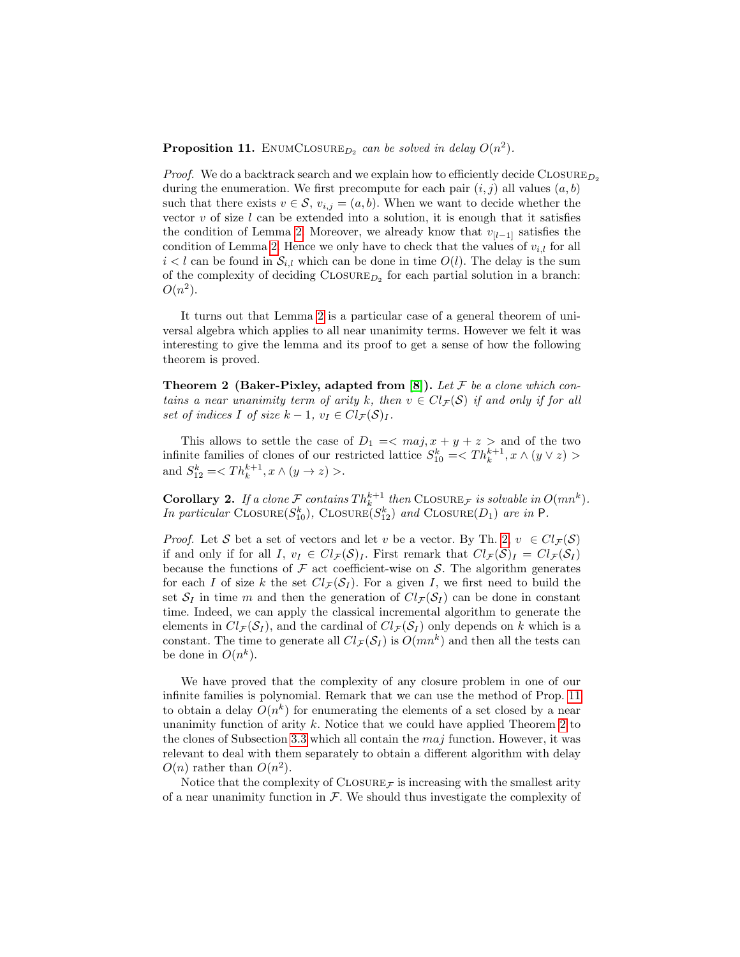**Proposition 11.** ENUMCLOSURE<sub>D<sub>2</sub> can be solved in delay  $O(n^2)$ .</sub>

*Proof.* We do a backtrack search and we explain how to efficiently decide  $\text{CLOSURE}_{D_2}$ during the enumeration. We first precompute for each pair  $(i, j)$  all values  $(a, b)$ such that there exists  $v \in \mathcal{S}$ ,  $v_{i,j} = (a, b)$ . When we want to decide whether the vector  $v$  of size  $l$  can be extended into a solution, it is enough that it satisfies the condition of Lemma [2.](#page-11-0) Moreover, we already know that  $v_{[l-1]}$  satisfies the condition of Lemma [2.](#page-11-0) Hence we only have to check that the values of  $v_{i,l}$  for all  $i < l$  can be found in  $S_{i,l}$  which can be done in time  $O(l)$ . The delay is the sum of the complexity of deciding  $\text{CLOSURE}_{D_2}$  for each partial solution in a branch:  $O(n^2)$ .

It turns out that Lemma [2](#page-11-0) is a particular case of a general theorem of universal algebra which applies to all near unanimity terms. However we felt it was interesting to give the lemma and its proof to get a sense of how the following theorem is proved.

<span id="page-12-0"></span>**Theorem 2 (Baker-Pixley, adapted from [\[8\]](#page-18-7)).** Let  $\mathcal F$  be a clone which contains a near unanimity term of arity k, then  $v \in Cl_{\mathcal{F}}(\mathcal{S})$  if and only if for all set of indices I of size  $k - 1$ ,  $v_I \in Cl_{\mathcal{F}}(\mathcal{S})_I$ .

This allows to settle the case of  $D_1 = \langle maj, x + y + z \rangle$  and of the two infinite families of clones of our restricted lattice  $S_{10}^k = \langle Th_k^{k+1}, x \wedge (y \vee z) \rangle$ and  $S_{12}^k = \langle Th_k^{k+1}, x \wedge (y \to z) \rangle$ .

<span id="page-12-1"></span>**Corollary 2.** If a clone F contains  $Th_k^{k+1}$  then CLOSURE<sub>F</sub> is solvable in  $O(mn^k)$ . In particular CLOSURE $(S_{10}^k)$ , CLOSURE $(S_{12}^k)$  and CLOSURE $(D_1)$  are in P.

*Proof.* Let S bet a set of vectors and let v be a vector. By Th. [2,](#page-12-0)  $v \in Cl_{\mathcal{F}}(\mathcal{S})$ if and only if for all I,  $v_I \in Cl_{\mathcal{F}}(\mathcal{S})_I$ . First remark that  $Cl_{\mathcal{F}}(\mathcal{S})_I = Cl_{\mathcal{F}}(\mathcal{S}_I)$ because the functions of  $\mathcal F$  act coefficient-wise on  $\mathcal S$ . The algorithm generates for each I of size k the set  $Cl_{\mathcal{F}}(\mathcal{S}_I)$ . For a given I, we first need to build the set  $S_I$  in time m and then the generation of  $Cl_{\mathcal{F}}(S_I)$  can be done in constant time. Indeed, we can apply the classical incremental algorithm to generate the elements in  $Cl_{\mathcal{F}}(\mathcal{S}_I)$ , and the cardinal of  $Cl_{\mathcal{F}}(\mathcal{S}_I)$  only depends on k which is a constant. The time to generate all  $Cl_{\mathcal{F}}(\mathcal{S}_I)$  is  $O(mn^k)$  and then all the tests can be done in  $O(n^k)$ .

We have proved that the complexity of any closure problem in one of our infinite families is polynomial. Remark that we can use the method of Prop. [11](#page-11-1) to obtain a delay  $O(n^k)$  for enumerating the elements of a set closed by a near unanimity function of arity  $k$ . Notice that we could have applied Theorem [2](#page-12-0) to the clones of Subsection [3.3](#page-9-1) which all contain the  $maj$  function. However, it was relevant to deal with them separately to obtain a different algorithm with delay  $O(n)$  rather than  $O(n^2)$ .

Notice that the complexity of  $\text{CLOSURE}_{\mathcal{F}}$  is increasing with the smallest arity of a near unanimity function in  $\mathcal F$ . We should thus investigate the complexity of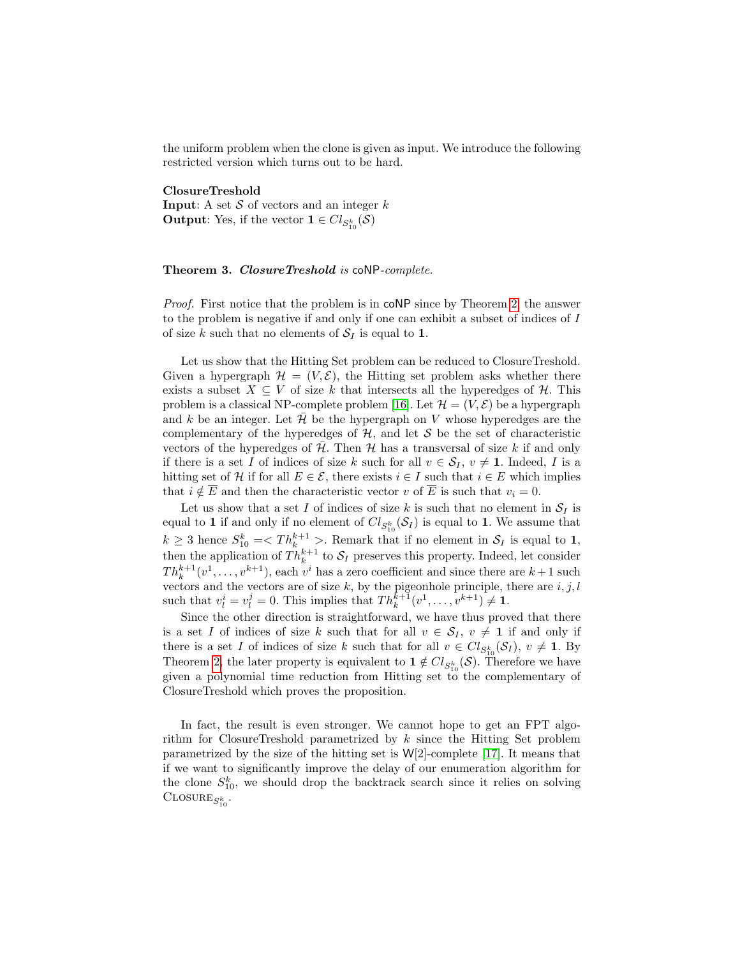the uniform problem when the clone is given as input. We introduce the following restricted version which turns out to be hard.

ClosureTreshold

**Input:** A set  $S$  of vectors and an integer  $k$ **Output**: Yes, if the vector  $\mathbf{1} \in Cl_{S_{10}^k}(\mathcal{S})$ 

### Theorem 3. ClosureTreshold is coNP-complete.

Proof. First notice that the problem is in coNP since by Theorem [2,](#page-12-0) the answer to the problem is negative if and only if one can exhibit a subset of indices of I of size k such that no elements of  $S_I$  is equal to 1.

Let us show that the Hitting Set problem can be reduced to ClosureTreshold. Given a hypergraph  $\mathcal{H} = (V, \mathcal{E})$ , the Hitting set problem asks whether there exists a subset  $X \subseteq V$  of size k that intersects all the hyperedges of H. This problem is a classical NP-complete problem [\[16\]](#page-19-6). Let  $\mathcal{H} = (V, \mathcal{E})$  be a hypergraph and k be an integer. Let  $\mathcal H$  be the hypergraph on V whose hyperedges are the complementary of the hyperedges of  $H$ , and let S be the set of characteristic vectors of the hyperedges of  $H$ . Then  $H$  has a transversal of size k if and only if there is a set I of indices of size k such for all  $v \in S_I$ ,  $v \neq 1$ . Indeed, I is a hitting set of H if for all  $E \in \mathcal{E}$ , there exists  $i \in I$  such that  $i \in E$  which implies that  $i \notin \overline{E}$  and then the characteristic vector v of  $\overline{E}$  is such that  $v_i = 0$ .

Let us show that a set I of indices of size k is such that no element in  $S_I$  is equal to 1 if and only if no element of  $Cl_{S_{10}^k}(\mathcal{S}_I)$  is equal to 1. We assume that  $k \geq 3$  hence  $S_{10}^k = \langle Th_k^{k+1} \rangle$ . Remark that if no element in  $S_I$  is equal to 1, then the application of  $Th_k^{k+1}$  to  $S_I$  preserves this property. Indeed, let consider  $Th_k^{k+1}(v^1, \ldots, v^{k+1})$ , each  $v^i$  has a zero coefficient and since there are  $k+1$  such vectors and the vectors are of size k, by the pigeonhole principle, there are  $i, j, l$ such that  $v_l^i = v_l^j = 0$ . This implies that  $Th_k^{k+1}(v^1, \ldots, v^{k+1}) \neq \mathbf{1}$ .

Since the other direction is straightforward, we have thus proved that there is a set I of indices of size k such that for all  $v \in S_I$ ,  $v \neq 1$  if and only if there is a set I of indices of size k such that for all  $v \in Cl_{S_{10}^k}(\mathcal{S}_I), v \neq 1$ . By Theorem [2,](#page-12-0) the later property is equivalent to  $\mathbf{1} \notin Cl_{S_{10}^k}(\mathcal{S})$ . Therefore we have given a polynomial time reduction from Hitting set to the complementary of ClosureTreshold which proves the proposition.

In fact, the result is even stronger. We cannot hope to get an FPT algorithm for ClosureTreshold parametrized by k since the Hitting Set problem parametrized by the size of the hitting set is W[2]-complete [\[17\]](#page-19-7). It means that if we want to significantly improve the delay of our enumeration algorithm for the clone  $S_{10}^k$ , we should drop the backtrack search since it relies on solving  $\text{ClosURE}_{S_{10}^k}$ .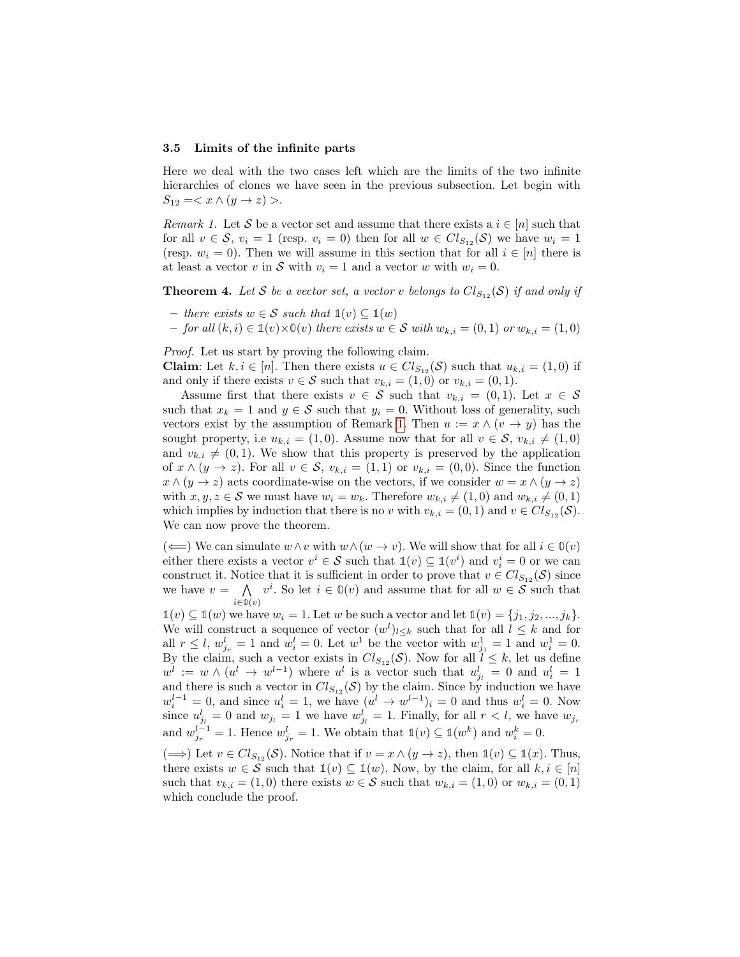#### <span id="page-14-0"></span>3.5 Limits of the infinite parts

Here we deal with the two cases left which are the limits of the two infinite hierarchies of clones we have seen in the previous subsection. Let begin with  $S_{12} = \langle x \wedge (y \rightarrow z) \rangle.$ 

<span id="page-14-1"></span>Remark 1. Let S be a vector set and assume that there exists a  $i \in [n]$  such that for all  $v \in \mathcal{S}$ ,  $v_i = 1$  (resp.  $v_i = 0$ ) then for all  $w \in Cl_{S_{12}}(\mathcal{S})$  we have  $w_i = 1$ (resp.  $w_i = 0$ ). Then we will assume in this section that for all  $i \in [n]$  there is at least a vector v in S with  $v_i = 1$  and a vector w with  $w_i = 0$ .

**Theorem 4.** Let S be a vector set, a vector v belongs to  $Cl_{S_{12}}(S)$  if and only if

- there exists w ∈ S such that **1**(v) ⊆ **1**(w)
- $−$  for all  $(k, i) \in \mathbb{1}(v) \times \mathbb{0}(v)$  there exists  $w \in \mathcal{S}$  with  $w_{k,i} = (0, 1)$  or  $w_{k,i} = (1, 0)$

Proof. Let us start by proving the following claim.

**Claim**: Let  $k, i \in [n]$ . Then there exists  $u \in Cl_{S_{12}}(\mathcal{S})$  such that  $u_{k,i} = (1,0)$  if and only if there exists  $v \in \mathcal{S}$  such that  $v_{k,i} = (1,0)$  or  $v_{k,i} = (0,1)$ .

Assume first that there exists  $v \in \mathcal{S}$  such that  $v_{k,i} = (0,1)$ . Let  $x \in \mathcal{S}$ such that  $x_k = 1$  and  $y \in \mathcal{S}$  such that  $y_i = 0$ . Without loss of generality, such vectors exist by the assumption of Remark [1.](#page-14-1) Then  $u := x \wedge (v \rightarrow y)$  has the sought property, i.e  $u_{k,i} = (1,0)$ . Assume now that for all  $v \in \mathcal{S}$ ,  $v_{k,i} \neq (1,0)$ and  $v_{k,i} \neq (0, 1)$ . We show that this property is preserved by the application of  $x \wedge (y \rightarrow z)$ . For all  $v \in S$ ,  $v_{k,i} = (1,1)$  or  $v_{k,i} = (0,0)$ . Since the function  $x \wedge (y \rightarrow z)$  acts coordinate-wise on the vectors, if we consider  $w = x \wedge (y \rightarrow z)$ with  $x, y, z \in S$  we must have  $w_i = w_k$ . Therefore  $w_{k,i} \neq (1, 0)$  and  $w_{k,i} \neq (0, 1)$ which implies by induction that there is no v with  $v_{k,i} = (0, 1)$  and  $v \in Cl_{S_{12}}(\mathcal{S})$ . We can now prove the theorem.

(←) We can simulate  $w \wedge v$  with  $w \wedge (w \rightarrow v)$ . We will show that for all  $i \in \mathbb{O}(v)$ either there exists a vector  $v^i \in \mathcal{S}$  such that  $\mathbb{1}(v) \subseteq \mathbb{1}(v^i)$  and  $v_i^i = 0$  or we can construct it. Notice that it is sufficient in order to prove that  $v \in Cl_{S_{12}}(\mathcal{S})$  since we have  $v = \bigwedge v^i$ . So let  $i \in \mathbb{O}(v)$  and assume that for all  $w \in \mathcal{S}$  such that i∈**0**(v)

 $\mathbb{1}(v) \subseteq \mathbb{1}(w)$  we have  $w_i = 1$ . Let w be such a vector and let  $\mathbb{1}(v) = \{j_1, j_2, ..., j_k\}.$ We will construct a sequence of vector  $(w^{l})_{l \leq k}$  such that for all  $l \leq k$  and for all  $r \leq l$ ,  $w_{j_r}^l = 1$  and  $w_i^l = 0$ . Let  $w^1$  be the vector with  $w_{j_1}^1 = 1$  and  $w_i^1 = 0$ . By the claim, such a vector exists in  $Cl_{S_{12}}(\mathcal{S})$ . Now for all  $l \leq k$ , let us define  $w^l := w \wedge (u^l \to w^{l-1})$  where  $u^l$  is a vector such that  $u^l_{j_l} = 0$  and  $u^l_i = 1$ and there is such a vector in  $Cl_{S_{12}}(\mathcal{S})$  by the claim. Since by induction we have  $w_i^{l-1} = 0$ , and since  $u_i^l = 1$ , we have  $(u^l \to w^{l-1})_i = 0$  and thus  $w_i^l = 0$ . Now since  $u_{j_l}^l = 0$  and  $w_{j_l} = 1$  we have  $w_{j_l}^l = 1$ . Finally, for all  $r < l$ , we have  $w_{j_r}$ and  $w_{j_r}^{l-1} = 1$ . Hence  $w_{j_r}^l = 1$ . We obtain that  $\mathbb{1}(v) \subseteq \mathbb{1}(w^k)$  and  $w_i^k = 0$ .

 $(\implies)$  Let  $v \in Cl_{S_{12}}(\mathcal{S})$ . Notice that if  $v = x \wedge (y \to z)$ , then  $\mathbb{1}(v) \subseteq \mathbb{1}(x)$ . Thus, there exists  $w \in \mathcal{S}$  such that  $\mathbb{1}(v) \subseteq \mathbb{1}(w)$ . Now, by the claim, for all  $k, i \in [n]$ such that  $v_{k,i} = (1,0)$  there exists  $w \in \mathcal{S}$  such that  $w_{k,i} = (1,0)$  or  $w_{k,i} = (0,1)$ which conclude the proof.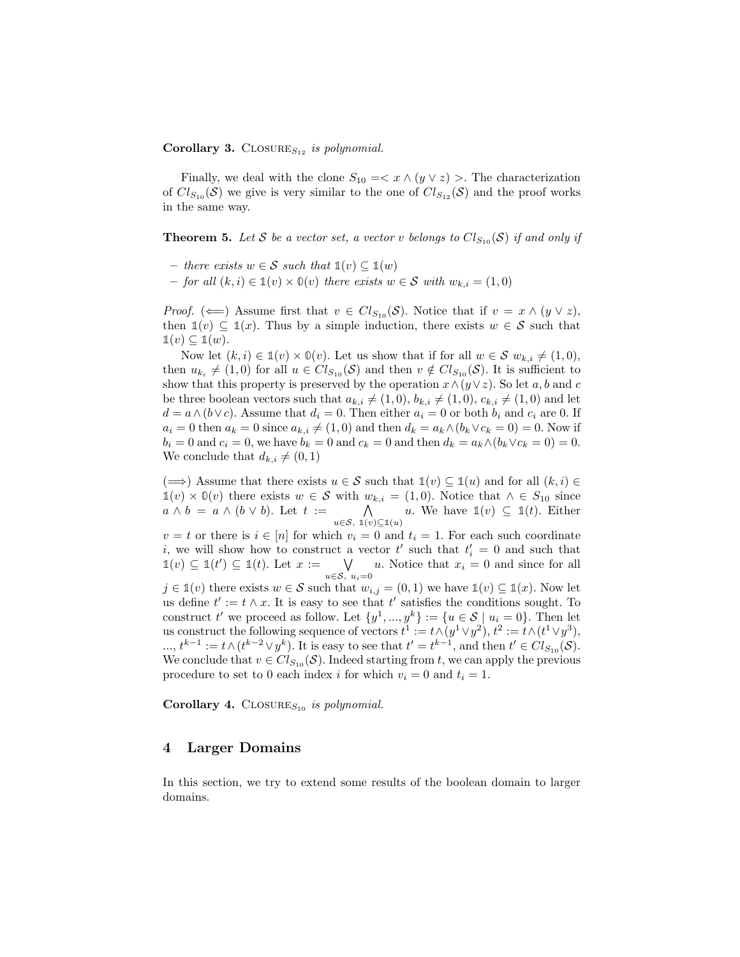#### **Corollary 3.** CLOSURE<sub>S<sub>12</sub> is polynomial.</sub>

Finally, we deal with the clone  $S_{10} = \langle x \wedge (y \vee z) \rangle$ . The characterization of  $Cl_{S_{10}}(\mathcal{S})$  we give is very similar to the one of  $Cl_{S_{12}}(\mathcal{S})$  and the proof works in the same way.

**Theorem 5.** Let S be a vector set, a vector v belongs to  $Cl_{S_{10}}(S)$  if and only if

- there exists w ∈ S such that **1**(v) ⊆ **1**(w)
- $-$  for all  $(k, i) \in \mathbb{1}(v) \times \mathbb{0}(v)$  there exists  $w \in \mathcal{S}$  with  $w_{k,i} = (1, 0)$

*Proof.* ( $\Longleftarrow$ ) Assume first that  $v \in Cl_{S_{10}}(\mathcal{S})$ . Notice that if  $v = x \wedge (y \vee z)$ , then  $\mathbb{1}(v) \subseteq \mathbb{1}(x)$ . Thus by a simple induction, there exists  $w \in \mathcal{S}$  such that  $\mathbb{1}(v) \subseteq \mathbb{1}(w)$ .

Now let  $(k, i) \in \mathbb{1}(v) \times \mathbb{0}(v)$ . Let us show that if for all  $w \in \mathcal{S}$   $w_{k,i} \neq (1, 0)$ , then  $u_{k_i} \neq (1,0)$  for all  $u \in Cl_{S_{10}}(\mathcal{S})$  and then  $v \notin Cl_{S_{10}}(\mathcal{S})$ . It is sufficient to show that this property is preserved by the operation  $x \wedge (y \vee z)$ . So let a, b and c be three boolean vectors such that  $a_{k,i} \neq (1, 0), b_{k,i} \neq (1, 0), c_{k,i} \neq (1, 0)$  and let  $d = a \wedge (b \vee c)$ . Assume that  $d_i = 0$ . Then either  $a_i = 0$  or both  $b_i$  and  $c_i$  are 0. If  $a_i = 0$  then  $a_k = 0$  since  $a_{k,i} \neq (1, 0)$  and then  $d_k = a_k \wedge (b_k \vee c_k = 0) = 0$ . Now if  $b_i = 0$  and  $c_i = 0$ , we have  $b_k = 0$  and  $c_k = 0$  and then  $d_k = a_k \wedge (b_k \vee c_k = 0) = 0$ . We conclude that  $d_{k,i} \neq (0, 1)$ 

 $(\implies)$  Assume that there exists  $u \in \mathcal{S}$  such that  $\mathbb{1}(v) \subseteq \mathbb{1}(u)$  and for all  $(k, i) \in \mathbb{R}$ **1**(v) ×  $\mathbb{O}(v)$  there exists  $w \in \mathcal{S}$  with  $w_{k,i} = (1,0)$ . Notice that  $\wedge \in S_{10}$  since  $a \wedge b = a \wedge (b \vee b)$ . Let  $t :=$ u∈S, **1**(v)⊆**1**(u) u. We have  $\mathbb{1}(v) \subseteq \mathbb{1}(t)$ . Either

 $v = t$  or there is  $i \in [n]$  for which  $v_i = 0$  and  $t_i = 1$ . For each such coordinate i, we will show how to construct a vector  $t'$  such that  $t'_{i} = 0$  and such that  $\mathbb{1}(v) \subseteq \mathbb{1}(t') \subseteq \mathbb{1}(t)$ . Let  $x := \bigvee$  $\bigvee_{u \in S, u_i = 0} u$ . Notice that  $x_i = 0$  and since for all

 $j \in \mathbb{1}(v)$  there exists  $w \in \mathcal{S}$  such that  $w_{i,j} = (0,1)$  we have  $\mathbb{1}(v) \subseteq \mathbb{1}(x)$ . Now let us define  $t' := t \wedge x$ . It is easy to see that  $t'$  satisfies the conditions sought. To construct t' we proceed as follow. Let  $\{y^1, ..., y^k\} := \{u \in \mathcal{S} \mid u_i = 0\}$ . Then let us construct the following sequence of vectors  $t^1 := t \wedge (y^1 \vee y^2), t^2 := t \wedge (t^1 \vee y^3),$  $\dots, t^{k-1} := t \wedge (t^{k-2} \vee y^k)$ . It is easy to see that  $t' = t^{k-1}$ , and then  $t' \in Cl_{S_{10}}(\mathcal{S})$ . We conclude that  $v \in Cl_{S_{10}}(\mathcal{S})$ . Indeed starting from t, we can apply the previous procedure to set to 0 each index i for which  $v_i = 0$  and  $t_i = 1$ .

**Corollary 4.** CLOSURE<sub>S<sub>10</sub> is polynomial.</sub>

# <span id="page-15-0"></span>4 Larger Domains

In this section, we try to extend some results of the boolean domain to larger domains.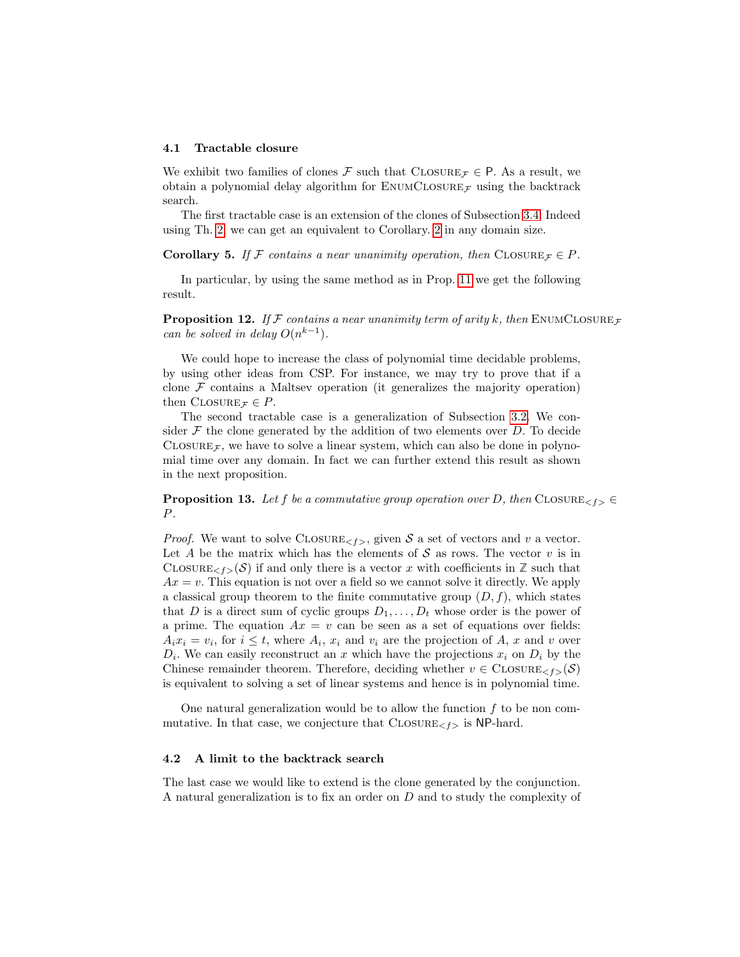#### 4.1 Tractable closure

We exhibit two families of clones F such that CLOSURE  $\tau \in \mathsf{P}$ . As a result, we obtain a polynomial delay algorithm for  $\text{EWMCLOSURE}_{\mathcal{F}}$  using the backtrack search.

The first tractable case is an extension of the clones of Subsection [3.4.](#page-10-0) Indeed using Th. [2,](#page-12-0) we can get an equivalent to Corollary. [2](#page-12-1) in any domain size.

**Corollary 5.** If F contains a near unanimity operation, then CLOSURE  $\tau \in P$ .

In particular, by using the same method as in Prop. [11](#page-11-1) we get the following result.

**Proposition 12.** If F contains a near unanimity term of arity k, then ENUMCLOSURE<sub>F</sub> can be solved in delay  $O(n^{k-1})$ .

We could hope to increase the class of polynomial time decidable problems, by using other ideas from CSP. For instance, we may try to prove that if a clone  $\mathcal F$  contains a Maltsev operation (it generalizes the majority operation) then CLOSURE  $\tau \in P$ .

The second tractable case is a generalization of Subsection [3.2.](#page-9-0) We consider  $\mathcal F$  the clone generated by the addition of two elements over  $D$ . To decide CLOSURE<sub>F</sub>, we have to solve a linear system, which can also be done in polynomial time over any domain. In fact we can further extend this result as shown in the next proposition.

**Proposition 13.** Let f be a commutative group operation over D, then CLOSURE<sub> $\leq t >$ </sub> P.

*Proof.* We want to solve  $\text{CLOSURE}_{\leq f>}$ , given S a set of vectors and v a vector. Let A be the matrix which has the elements of  $S$  as rows. The vector  $v$  is in CLOSURE<sub> $\leq f > (\mathcal{S})$  if and only there is a vector x with coefficients in Z such that</sub>  $Ax = v$ . This equation is not over a field so we cannot solve it directly. We apply a classical group theorem to the finite commutative group  $(D, f)$ , which states that D is a direct sum of cyclic groups  $D_1, \ldots, D_t$  whose order is the power of a prime. The equation  $Ax = v$  can be seen as a set of equations over fields:  $A_i x_i = v_i$ , for  $i \leq t$ , where  $A_i$ ,  $x_i$  and  $v_i$  are the projection of A, x and v over  $D_i$ . We can easily reconstruct an x which have the projections  $x_i$  on  $D_i$  by the Chinese remainder theorem. Therefore, deciding whether  $v \in \text{CLOSURE}_{\leq f>}(\mathcal{S})$ is equivalent to solving a set of linear systems and hence is in polynomial time.

One natural generalization would be to allow the function  $f$  to be non commutative. In that case, we conjecture that  $\text{CLOSURE}_{\leq f>}$  is NP-hard.

#### 4.2 A limit to the backtrack search

The last case we would like to extend is the clone generated by the conjunction. A natural generalization is to fix an order on D and to study the complexity of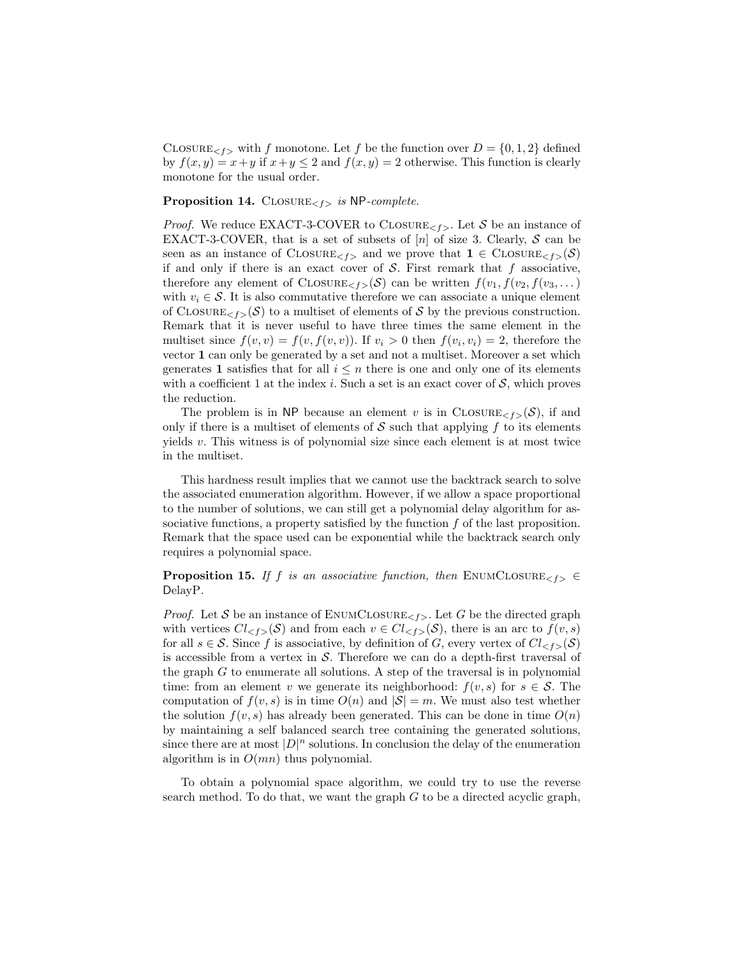CLOSURE<sub> $\leq f$ </sub> with f monotone. Let f be the function over  $D = \{0, 1, 2\}$  defined by  $f(x, y) = x + y$  if  $x + y \le 2$  and  $f(x, y) = 2$  otherwise. This function is clearly monotone for the usual order.

**Proposition 14.** CLOSURE<sub> $\leq f$ </sub> is NP-complete.

*Proof.* We reduce EXACT-3-COVER to CLOSURE<sub><f></sub>. Let S be an instance of EXACT-3-COVER, that is a set of subsets of  $[n]$  of size 3. Clearly, S can be seen as an instance of  $\text{ClosURE}_{\leq f}$  and we prove that  $1 \in \text{ClosURE}_{\leq f}(\mathcal{S})$ if and only if there is an exact cover of  $S$ . First remark that  $f$  associative, therefore any element of CLOSURE<sub><f></sub>(S) can be written  $f(v_1, f(v_2, f(v_3, \dots))$ with  $v_i \in \mathcal{S}$ . It is also commutative therefore we can associate a unique element of CLOSURE<sub> $\leq f$ </sub> $(\mathcal{S})$  to a multiset of elements of S by the previous construction. Remark that it is never useful to have three times the same element in the multiset since  $f(v, v) = f(v, f(v, v))$ . If  $v_i > 0$  then  $f(v_i, v_i) = 2$ , therefore the vector 1 can only be generated by a set and not a multiset. Moreover a set which generates 1 satisfies that for all  $i \leq n$  there is one and only one of its elements with a coefficient 1 at the index i. Such a set is an exact cover of  $S$ , which proves the reduction.

The problem is in NP because an element v is in CLOSURE<sub><f></sub>(S), if and only if there is a multiset of elements of  $\mathcal S$  such that applying f to its elements yields  $v$ . This witness is of polynomial size since each element is at most twice in the multiset.

This hardness result implies that we cannot use the backtrack search to solve the associated enumeration algorithm. However, if we allow a space proportional to the number of solutions, we can still get a polynomial delay algorithm for associative functions, a property satisfied by the function  $f$  of the last proposition. Remark that the space used can be exponential while the backtrack search only requires a polynomial space.

**Proposition 15.** If f is an associative function, then ENUMCLOSURE<sub><f></sub>  $\in$ DelayP.

*Proof.* Let S be an instance of ENUMCLOSURE<sub> $\leq t$ </sub>. Let G be the directed graph with vertices  $Cl_{\leq f>}(\mathcal{S})$  and from each  $v \in Cl_{\leq f>}(\mathcal{S})$ , there is an arc to  $f(v, s)$ for all  $s \in \mathcal{S}$ . Since f is associative, by definition of G, every vertex of  $Cl_{\leq f}(\mathcal{S})$ is accessible from a vertex in  $S$ . Therefore we can do a depth-first traversal of the graph G to enumerate all solutions. A step of the traversal is in polynomial time: from an element v we generate its neighborhood:  $f(v, s)$  for  $s \in \mathcal{S}$ . The computation of  $f(v, s)$  is in time  $O(n)$  and  $|S| = m$ . We must also test whether the solution  $f(v, s)$  has already been generated. This can be done in time  $O(n)$ by maintaining a self balanced search tree containing the generated solutions, since there are at most  $|D|^n$  solutions. In conclusion the delay of the enumeration algorithm is in  $O(mn)$  thus polynomial.

To obtain a polynomial space algorithm, we could try to use the reverse search method. To do that, we want the graph  $G$  to be a directed acyclic graph,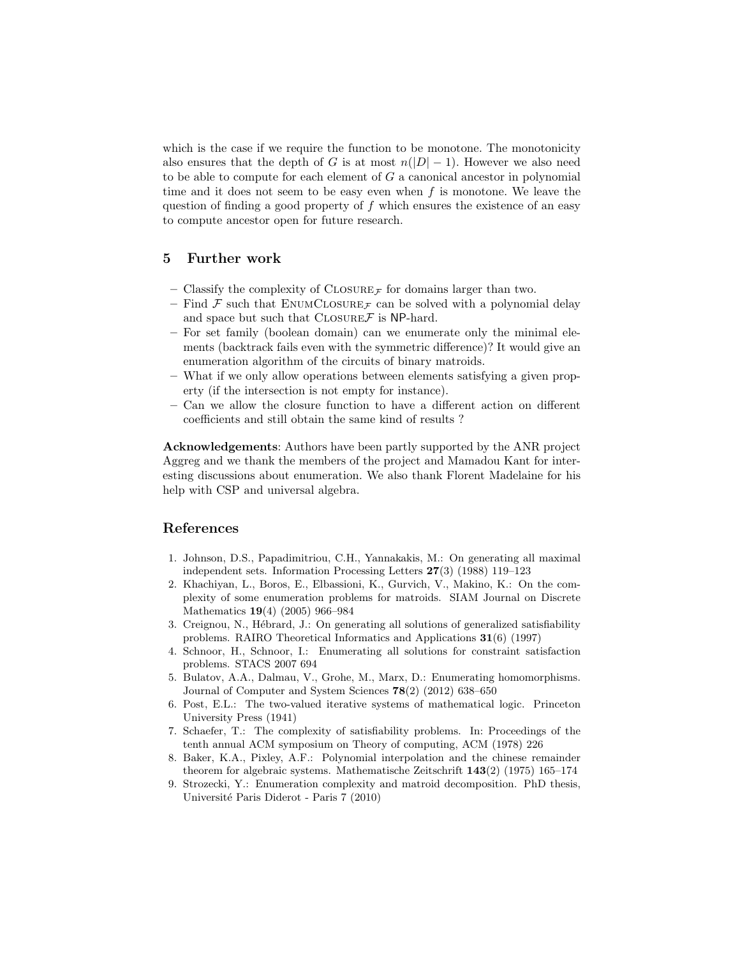which is the case if we require the function to be monotone. The monotonicity also ensures that the depth of G is at most  $n(|D|-1)$ . However we also need to be able to compute for each element of G a canonical ancestor in polynomial time and it does not seem to be easy even when  $f$  is monotone. We leave the question of finding a good property of  $f$  which ensures the existence of an easy to compute ancestor open for future research.

# 5 Further work

- Classify the complexity of  $\text{CLOSURE}_{\mathcal{F}}$  for domains larger than two.
- Find  $\mathcal F$  such that ENUMCLOSURE  $\tau$  can be solved with a polynomial delay and space but such that  $\text{CLOSURE}\mathcal{F}$  is NP-hard.
- For set family (boolean domain) can we enumerate only the minimal elements (backtrack fails even with the symmetric difference)? It would give an enumeration algorithm of the circuits of binary matroids.
- What if we only allow operations between elements satisfying a given property (if the intersection is not empty for instance).
- Can we allow the closure function to have a different action on different coefficients and still obtain the same kind of results ?

Acknowledgements: Authors have been partly supported by the ANR project Aggreg and we thank the members of the project and Mamadou Kant for interesting discussions about enumeration. We also thank Florent Madelaine for his help with CSP and universal algebra.

# References

- <span id="page-18-0"></span>1. Johnson, D.S., Papadimitriou, C.H., Yannakakis, M.: On generating all maximal independent sets. Information Processing Letters 27(3) (1988) 119–123
- <span id="page-18-1"></span>2. Khachiyan, L., Boros, E., Elbassioni, K., Gurvich, V., Makino, K.: On the complexity of some enumeration problems for matroids. SIAM Journal on Discrete Mathematics 19(4) (2005) 966–984
- <span id="page-18-2"></span>3. Creignou, N., Hébrard, J.: On generating all solutions of generalized satisfiability problems. RAIRO Theoretical Informatics and Applications 31(6) (1997)
- <span id="page-18-3"></span>4. Schnoor, H., Schnoor, I.: Enumerating all solutions for constraint satisfaction problems. STACS 2007 694
- <span id="page-18-4"></span>5. Bulatov, A.A., Dalmau, V., Grohe, M., Marx, D.: Enumerating homomorphisms. Journal of Computer and System Sciences 78(2) (2012) 638–650
- <span id="page-18-5"></span>6. Post, E.L.: The two-valued iterative systems of mathematical logic. Princeton University Press (1941)
- <span id="page-18-6"></span>7. Schaefer, T.: The complexity of satisfiability problems. In: Proceedings of the tenth annual ACM symposium on Theory of computing, ACM (1978) 226
- <span id="page-18-7"></span>8. Baker, K.A., Pixley, A.F.: Polynomial interpolation and the chinese remainder theorem for algebraic systems. Mathematische Zeitschrift 143(2) (1975) 165–174
- <span id="page-18-8"></span>9. Strozecki, Y.: Enumeration complexity and matroid decomposition. PhD thesis, Universit´e Paris Diderot - Paris 7 (2010)